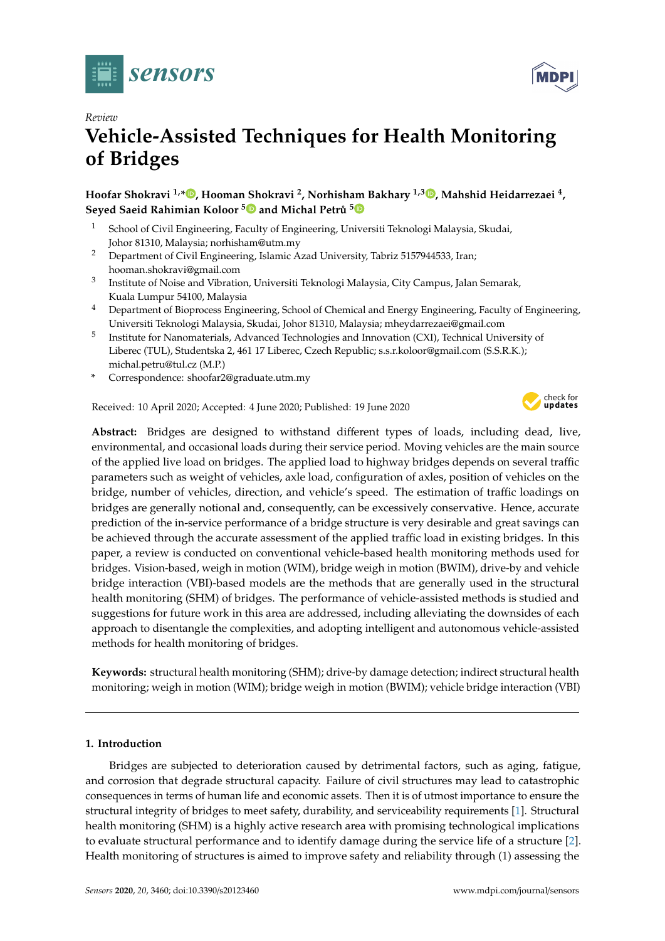



# **Vehicle-Assisted Techniques for Health Monitoring of Bridges**

**Hoofar Shokravi 1,[\\*](https://orcid.org/0000-0002-0054-3895) , Hooman Shokravi <sup>2</sup> , Norhisham Bakhary 1,3 [,](https://orcid.org/0000-0003-0439-1611) Mahshid Heidarrezaei <sup>4</sup> , Seyed Saeid Rahimian Koloor<sup>[5](https://orcid.org/0000-0002-7643-8450)</sup> and Michal Petrů<sup>5</sup> D** 

- <sup>1</sup> School of Civil Engineering, Faculty of Engineering, Universiti Teknologi Malaysia, Skudai, Johor 81310, Malaysia; norhisham@utm.my
- <sup>2</sup> Department of Civil Engineering, Islamic Azad University, Tabriz 5157944533, Iran; hooman.shokravi@gmail.com
- 3 Institute of Noise and Vibration, Universiti Teknologi Malaysia, City Campus, Jalan Semarak, Kuala Lumpur 54100, Malaysia
- <sup>4</sup> Department of Bioprocess Engineering, School of Chemical and Energy Engineering, Faculty of Engineering, Universiti Teknologi Malaysia, Skudai, Johor 81310, Malaysia; mheydarrezaei@gmail.com
- 5 Institute for Nanomaterials, Advanced Technologies and Innovation (CXI), Technical University of Liberec (TUL), Studentska 2, 461 17 Liberec, Czech Republic; s.s.r.koloor@gmail.com (S.S.R.K.); michal.petru@tul.cz (M.P.)
- **\*** Correspondence: shoofar2@graduate.utm.my

Received: 10 April 2020; Accepted: 4 June 2020; Published: 19 June 2020



**Abstract:** Bridges are designed to withstand different types of loads, including dead, live, environmental, and occasional loads during their service period. Moving vehicles are the main source of the applied live load on bridges. The applied load to highway bridges depends on several traffic parameters such as weight of vehicles, axle load, configuration of axles, position of vehicles on the bridge, number of vehicles, direction, and vehicle's speed. The estimation of traffic loadings on bridges are generally notional and, consequently, can be excessively conservative. Hence, accurate prediction of the in-service performance of a bridge structure is very desirable and great savings can be achieved through the accurate assessment of the applied traffic load in existing bridges. In this paper, a review is conducted on conventional vehicle-based health monitoring methods used for bridges. Vision-based, weigh in motion (WIM), bridge weigh in motion (BWIM), drive-by and vehicle bridge interaction (VBI)-based models are the methods that are generally used in the structural health monitoring (SHM) of bridges. The performance of vehicle-assisted methods is studied and suggestions for future work in this area are addressed, including alleviating the downsides of each approach to disentangle the complexities, and adopting intelligent and autonomous vehicle-assisted methods for health monitoring of bridges.

**Keywords:** structural health monitoring (SHM); drive-by damage detection; indirect structural health monitoring; weigh in motion (WIM); bridge weigh in motion (BWIM); vehicle bridge interaction (VBI)

# **1. Introduction**

Bridges are subjected to deterioration caused by detrimental factors, such as aging, fatigue, and corrosion that degrade structural capacity. Failure of civil structures may lead to catastrophic consequences in terms of human life and economic assets. Then it is of utmost importance to ensure the structural integrity of bridges to meet safety, durability, and serviceability requirements [\[1\]](#page-20-0). Structural health monitoring (SHM) is a highly active research area with promising technological implications to evaluate structural performance and to identify damage during the service life of a structure [\[2\]](#page-20-1). Health monitoring of structures is aimed to improve safety and reliability through (1) assessing the

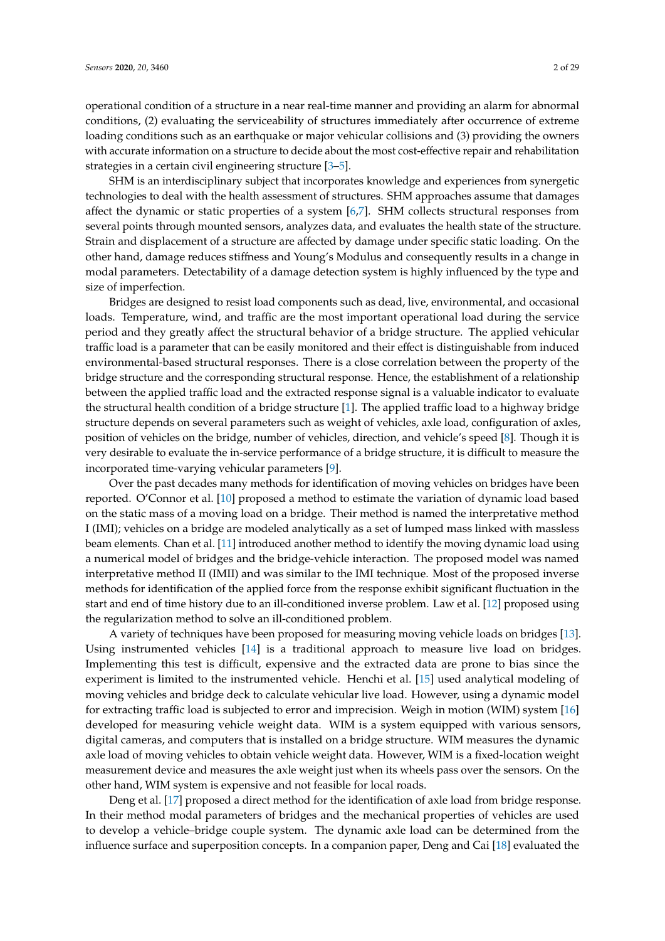operational condition of a structure in a near real-time manner and providing an alarm for abnormal conditions, (2) evaluating the serviceability of structures immediately after occurrence of extreme loading conditions such as an earthquake or major vehicular collisions and (3) providing the owners with accurate information on a structure to decide about the most cost-effective repair and rehabilitation strategies in a certain civil engineering structure [\[3–](#page-20-2)[5\]](#page-20-3).

SHM is an interdisciplinary subject that incorporates knowledge and experiences from synergetic technologies to deal with the health assessment of structures. SHM approaches assume that damages affect the dynamic or static properties of a system [\[6,](#page-20-4)[7\]](#page-20-5). SHM collects structural responses from several points through mounted sensors, analyzes data, and evaluates the health state of the structure. Strain and displacement of a structure are affected by damage under specific static loading. On the other hand, damage reduces stiffness and Young's Modulus and consequently results in a change in modal parameters. Detectability of a damage detection system is highly influenced by the type and size of imperfection.

Bridges are designed to resist load components such as dead, live, environmental, and occasional loads. Temperature, wind, and traffic are the most important operational load during the service period and they greatly affect the structural behavior of a bridge structure. The applied vehicular traffic load is a parameter that can be easily monitored and their effect is distinguishable from induced environmental-based structural responses. There is a close correlation between the property of the bridge structure and the corresponding structural response. Hence, the establishment of a relationship between the applied traffic load and the extracted response signal is a valuable indicator to evaluate the structural health condition of a bridge structure [\[1\]](#page-20-0). The applied traffic load to a highway bridge structure depends on several parameters such as weight of vehicles, axle load, configuration of axles, position of vehicles on the bridge, number of vehicles, direction, and vehicle's speed [\[8\]](#page-20-6). Though it is very desirable to evaluate the in-service performance of a bridge structure, it is difficult to measure the incorporated time-varying vehicular parameters [\[9\]](#page-20-7).

Over the past decades many methods for identification of moving vehicles on bridges have been reported. O'Connor et al. [\[10\]](#page-20-8) proposed a method to estimate the variation of dynamic load based on the static mass of a moving load on a bridge. Their method is named the interpretative method I (IMI); vehicles on a bridge are modeled analytically as a set of lumped mass linked with massless beam elements. Chan et al. [\[11\]](#page-20-9) introduced another method to identify the moving dynamic load using a numerical model of bridges and the bridge-vehicle interaction. The proposed model was named interpretative method II (IMII) and was similar to the IMI technique. Most of the proposed inverse methods for identification of the applied force from the response exhibit significant fluctuation in the start and end of time history due to an ill-conditioned inverse problem. Law et al. [\[12\]](#page-20-10) proposed using the regularization method to solve an ill-conditioned problem.

A variety of techniques have been proposed for measuring moving vehicle loads on bridges [\[13\]](#page-20-11). Using instrumented vehicles [\[14\]](#page-20-12) is a traditional approach to measure live load on bridges. Implementing this test is difficult, expensive and the extracted data are prone to bias since the experiment is limited to the instrumented vehicle. Henchi et al. [\[15\]](#page-20-13) used analytical modeling of moving vehicles and bridge deck to calculate vehicular live load. However, using a dynamic model for extracting traffic load is subjected to error and imprecision. Weigh in motion (WIM) system [\[16\]](#page-20-14) developed for measuring vehicle weight data. WIM is a system equipped with various sensors, digital cameras, and computers that is installed on a bridge structure. WIM measures the dynamic axle load of moving vehicles to obtain vehicle weight data. However, WIM is a fixed-location weight measurement device and measures the axle weight just when its wheels pass over the sensors. On the other hand, WIM system is expensive and not feasible for local roads.

Deng et al. [\[17\]](#page-20-15) proposed a direct method for the identification of axle load from bridge response. In their method modal parameters of bridges and the mechanical properties of vehicles are used to develop a vehicle–bridge couple system. The dynamic axle load can be determined from the influence surface and superposition concepts. In a companion paper, Deng and Cai [\[18\]](#page-20-16) evaluated the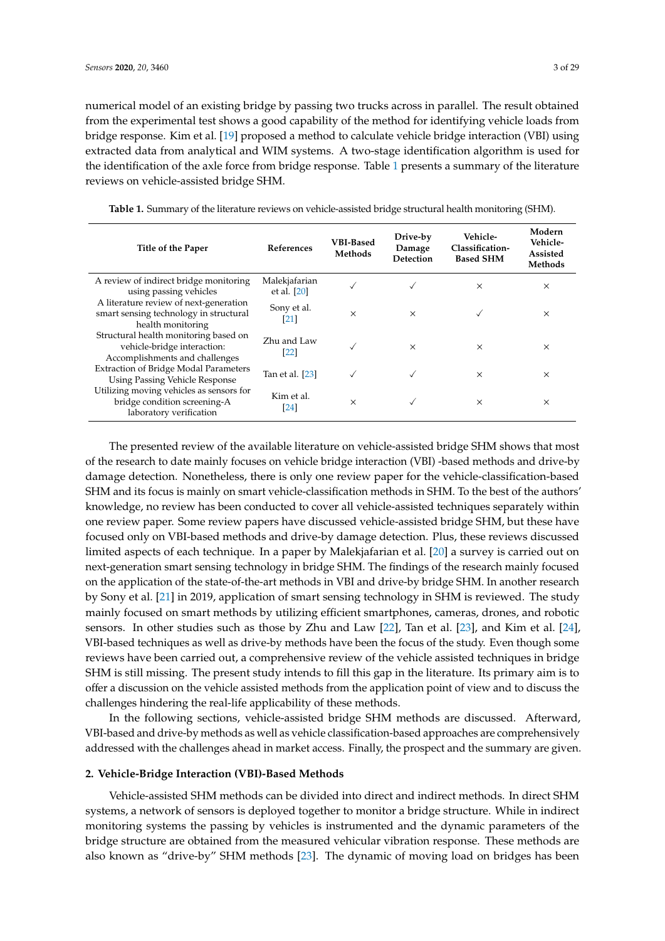numerical model of an existing bridge by passing two trucks across in parallel. The result obtained from the experimental test shows a good capability of the method for identifying vehicle loads from bridge response. Kim et al. [\[19\]](#page-20-17) proposed a method to calculate vehicle bridge interaction (VBI) using extracted data from analytical and WIM systems. A two-stage identification algorithm is used for the identification of the axle force from bridge response. Table [1](#page-2-0) presents a summary of the literature reviews on vehicle-assisted bridge SHM.

| Title of the Paper                                                                                     | <b>References</b>                | <b>VBI-Based</b><br>Methods | Drive-by<br>Damage<br>Detection | Vehicle-<br>Classification-<br><b>Based SHM</b> | Modern<br>Vehicle-<br>Assisted<br>Methods |
|--------------------------------------------------------------------------------------------------------|----------------------------------|-----------------------------|---------------------------------|-------------------------------------------------|-------------------------------------------|
| A review of indirect bridge monitoring<br>using passing vehicles                                       | Malekjafarian<br>et al. [20]     | $\checkmark$                |                                 | $\times$                                        | X                                         |
| A literature review of next-generation<br>smart sensing technology in structural<br>health monitoring  | Sony et al.<br>[21]              | $\times$                    | $\times$                        |                                                 | $\times$                                  |
| Structural health monitoring based on<br>vehicle-bridge interaction:<br>Accomplishments and challenges | Zhu and Law<br>[22]              | $\checkmark$                | $\times$                        | $\times$                                        | $\times$                                  |
| <b>Extraction of Bridge Modal Parameters</b><br>Using Passing Vehicle Response                         | Tan et al. [23]                  | $\checkmark$                |                                 | $\times$                                        | $\times$                                  |
| Utilizing moving vehicles as sensors for<br>bridge condition screening-A<br>laboratory verification    | Kim et al.<br>$\lceil 24 \rceil$ | $\times$                    | ✓                               | $\times$                                        | $\times$                                  |

<span id="page-2-0"></span>**Table 1.** Summary of the literature reviews on vehicle-assisted bridge structural health monitoring (SHM).

The presented review of the available literature on vehicle-assisted bridge SHM shows that most of the research to date mainly focuses on vehicle bridge interaction (VBI) -based methods and drive-by damage detection. Nonetheless, there is only one review paper for the vehicle-classification-based SHM and its focus is mainly on smart vehicle-classification methods in SHM. To the best of the authors' knowledge, no review has been conducted to cover all vehicle-assisted techniques separately within one review paper. Some review papers have discussed vehicle-assisted bridge SHM, but these have focused only on VBI-based methods and drive-by damage detection. Plus, these reviews discussed limited aspects of each technique. In a paper by Malekjafarian et al. [\[20\]](#page-20-18) a survey is carried out on next-generation smart sensing technology in bridge SHM. The findings of the research mainly focused on the application of the state-of-the-art methods in VBI and drive-by bridge SHM. In another research by Sony et al. [\[21\]](#page-20-19) in 2019, application of smart sensing technology in SHM is reviewed. The study mainly focused on smart methods by utilizing efficient smartphones, cameras, drones, and robotic sensors. In other studies such as those by Zhu and Law [\[22\]](#page-20-20), Tan et al. [\[23\]](#page-20-21), and Kim et al. [\[24\]](#page-21-0), VBI-based techniques as well as drive-by methods have been the focus of the study. Even though some reviews have been carried out, a comprehensive review of the vehicle assisted techniques in bridge SHM is still missing. The present study intends to fill this gap in the literature. Its primary aim is to offer a discussion on the vehicle assisted methods from the application point of view and to discuss the challenges hindering the real-life applicability of these methods.

In the following sections, vehicle-assisted bridge SHM methods are discussed. Afterward, VBI-based and drive-by methods as well as vehicle classification-based approaches are comprehensively addressed with the challenges ahead in market access. Finally, the prospect and the summary are given.

#### **2. Vehicle-Bridge Interaction (VBI)-Based Methods**

Vehicle-assisted SHM methods can be divided into direct and indirect methods. In direct SHM systems, a network of sensors is deployed together to monitor a bridge structure. While in indirect monitoring systems the passing by vehicles is instrumented and the dynamic parameters of the bridge structure are obtained from the measured vehicular vibration response. These methods are also known as "drive-by" SHM methods [\[23\]](#page-20-21). The dynamic of moving load on bridges has been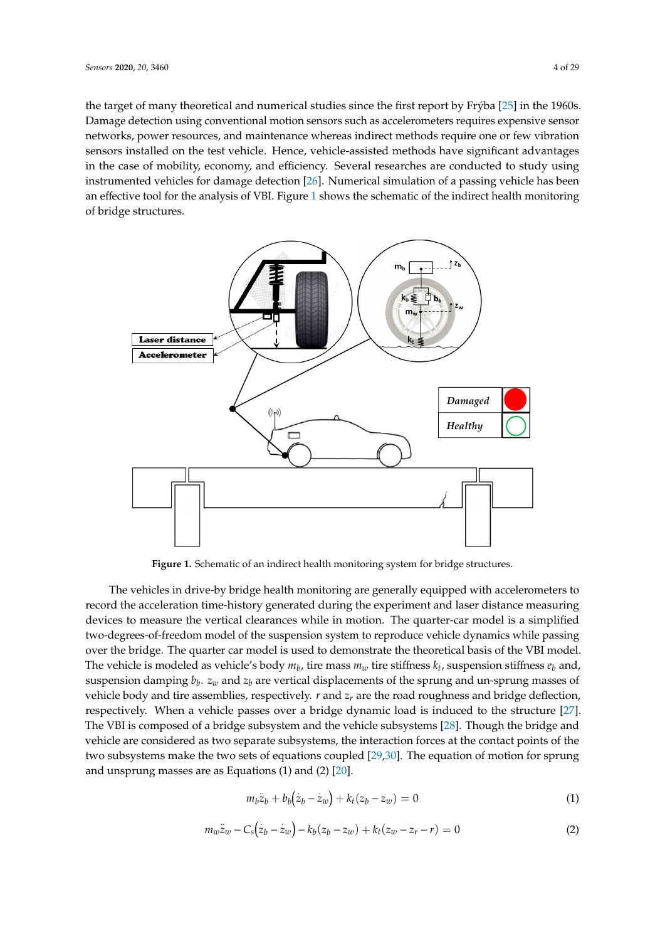the target of many theoretical and numerical studies since the first report by Frýba [\[25\]](#page-21-1) in the 1960s. Damage detection using conventional motion sensors such as accelerometers requires expensive sensor Damage detection using conventional motion sensors such as accelerometers requires expensive networks, power resources, and maintenance whereas indirect methods require one or few vibration sensors installed on the test vehicle. Hence, vehicle-assisted methods have significant advantages in the case of mobility, economy, and efficiency. Several researches are conducted to study using instrumented vehicles for damage detection [\[26\]](#page-21-2). Numerical simulation of a passing vehicle has been an effective tool for the analysis of VBI. Figure [1](#page-3-0) shows the schematic of the indirect health monitoring of bridge structures.

<span id="page-3-0"></span>

**Figure 1.** Schematic of an indirect health monitoring system for bridge structures. **Figure 1.** Schematic of an indirect health monitoring system for bridge structures.

The vehicles in drive-by bridge health monitoring are generally equipped with accelerometers The vehicles in drive-by bridge health monitoring are generally equipped with accelerometers to to record the acceleration time-history generated during the experiment and laser distance measuring devices to measure the vertical clearances while in motion. The quarter-car model is a simplified devices to measure the vertical clearances while in motion. The quarter-car model is a simplified degrees-of-freedom model of the suspension system to reproduce vehicle dynamics while passing over the bridge. The quarter car model is used to demonstrate the theoretical basis of the VBI model.<br>The child is used to demonstrate the theoretical basis of the VBI model. The vehicle is modeled as vehicle's body  $m_b$ , tire mass  $m_w$  tire stiffness  $k_t$ , suspension stiffness  $e_b$  and, suspension damping *bb*. *zw* and *zb* are vertical displacements of the sprung and un-sprung masses of vehicle body and tire assemblies, respectively.  $r$  and  $z_r$  are the road roughness and bridge deflection, respectively. When a vehicle passes over a bridge dynamic load is induced to the structure [\[27\]](#page-21-3).<br>The MPL is the structure in the structure is induced to the structure [27]. The VBI is composed of a bridge subsystem and the vehicle subsystems [\[28\]](#page-21-4). Though the bridge and vehicle subsystems for a bridge and are considered as two separate subsystems, the interaction forces at the contact points of the two two subsystems make the two sets of equations coupled [\[29](#page-21-5)[,30\]](#page-21-6). The equation of motion for sprung  $\overline{a}$ unsprung masses are as Equations (1) and (2) [20]. and unsprung masses are as Equations (1) and (2) [\[20\]](#page-20-18). record the acceleration time-history generated during the experiment and laser distance measuring two-degrees-of-freedom model of the suspension system to reproduce vehicle dynamics while passing suspension damping  $b_b$ .  $z_w$  and  $z_b$  are vertical displacements of the sprung and un-sprung masses of vehicle are considered as two separate subsystems, the interaction forces at the contact points of the

$$
m_b \ddot{z}_b + b_b (\dot{z}_b - \dot{z}_w) + k_t (z_b - z_w) = 0 \tag{1}
$$

$$
m_w \ddot{z}_w - C_s (z_b - \dot{z}_w) - k_b (z_b - z_w) + k_t (z_w - z_r - r) = 0
$$
\n(2)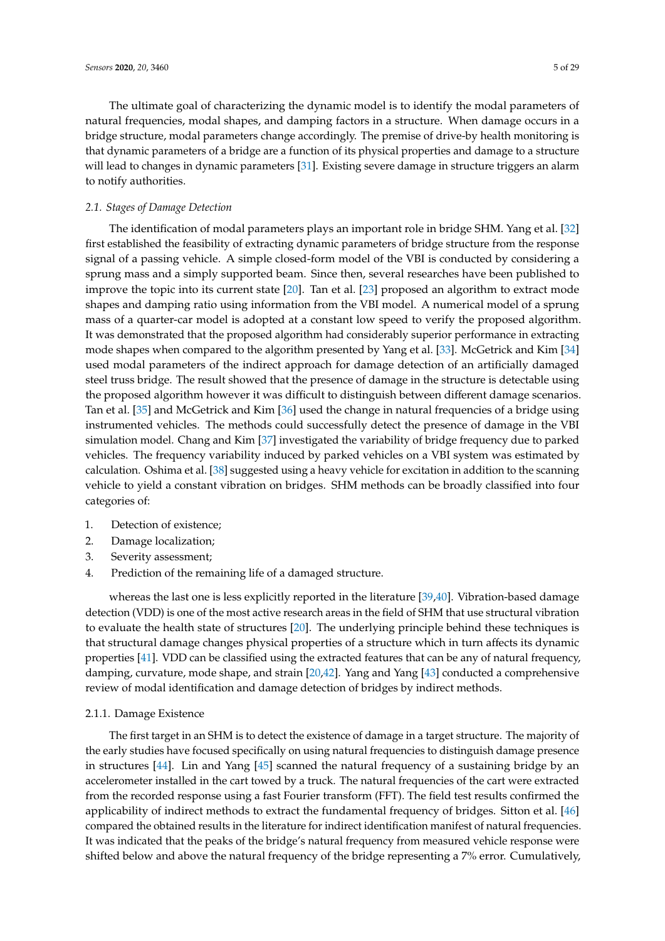The ultimate goal of characterizing the dynamic model is to identify the modal parameters of natural frequencies, modal shapes, and damping factors in a structure. When damage occurs in a bridge structure, modal parameters change accordingly. The premise of drive-by health monitoring is that dynamic parameters of a bridge are a function of its physical properties and damage to a structure will lead to changes in dynamic parameters [\[31\]](#page-21-7). Existing severe damage in structure triggers an alarm to notify authorities.

# *2.1. Stages of Damage Detection*

The identification of modal parameters plays an important role in bridge SHM. Yang et al. [\[32\]](#page-21-8) first established the feasibility of extracting dynamic parameters of bridge structure from the response signal of a passing vehicle. A simple closed-form model of the VBI is conducted by considering a sprung mass and a simply supported beam. Since then, several researches have been published to improve the topic into its current state [\[20\]](#page-20-18). Tan et al. [\[23\]](#page-20-21) proposed an algorithm to extract mode shapes and damping ratio using information from the VBI model. A numerical model of a sprung mass of a quarter-car model is adopted at a constant low speed to verify the proposed algorithm. It was demonstrated that the proposed algorithm had considerably superior performance in extracting mode shapes when compared to the algorithm presented by Yang et al. [\[33\]](#page-21-9). McGetrick and Kim [\[34\]](#page-21-10) used modal parameters of the indirect approach for damage detection of an artificially damaged steel truss bridge. The result showed that the presence of damage in the structure is detectable using the proposed algorithm however it was difficult to distinguish between different damage scenarios. Tan et al. [\[35\]](#page-21-11) and McGetrick and Kim [\[36\]](#page-21-12) used the change in natural frequencies of a bridge using instrumented vehicles. The methods could successfully detect the presence of damage in the VBI simulation model. Chang and Kim [\[37\]](#page-21-13) investigated the variability of bridge frequency due to parked vehicles. The frequency variability induced by parked vehicles on a VBI system was estimated by calculation. Oshima et al. [\[38\]](#page-21-14) suggested using a heavy vehicle for excitation in addition to the scanning vehicle to yield a constant vibration on bridges. SHM methods can be broadly classified into four categories of:

- 1. Detection of existence;
- 2. Damage localization;
- 3. Severity assessment;
- 4. Prediction of the remaining life of a damaged structure.

whereas the last one is less explicitly reported in the literature [\[39](#page-21-15)[,40\]](#page-21-16). Vibration-based damage detection (VDD) is one of the most active research areas in the field of SHM that use structural vibration to evaluate the health state of structures [\[20\]](#page-20-18). The underlying principle behind these techniques is that structural damage changes physical properties of a structure which in turn affects its dynamic properties [\[41\]](#page-21-17). VDD can be classified using the extracted features that can be any of natural frequency, damping, curvature, mode shape, and strain [\[20,](#page-20-18)[42\]](#page-21-18). Yang and Yang [\[43\]](#page-21-19) conducted a comprehensive review of modal identification and damage detection of bridges by indirect methods.

# 2.1.1. Damage Existence

The first target in an SHM is to detect the existence of damage in a target structure. The majority of the early studies have focused specifically on using natural frequencies to distinguish damage presence in structures [\[44\]](#page-21-20). Lin and Yang [\[45\]](#page-21-21) scanned the natural frequency of a sustaining bridge by an accelerometer installed in the cart towed by a truck. The natural frequencies of the cart were extracted from the recorded response using a fast Fourier transform (FFT). The field test results confirmed the applicability of indirect methods to extract the fundamental frequency of bridges. Sitton et al. [\[46\]](#page-21-22) compared the obtained results in the literature for indirect identification manifest of natural frequencies. It was indicated that the peaks of the bridge's natural frequency from measured vehicle response were shifted below and above the natural frequency of the bridge representing a 7% error. Cumulatively,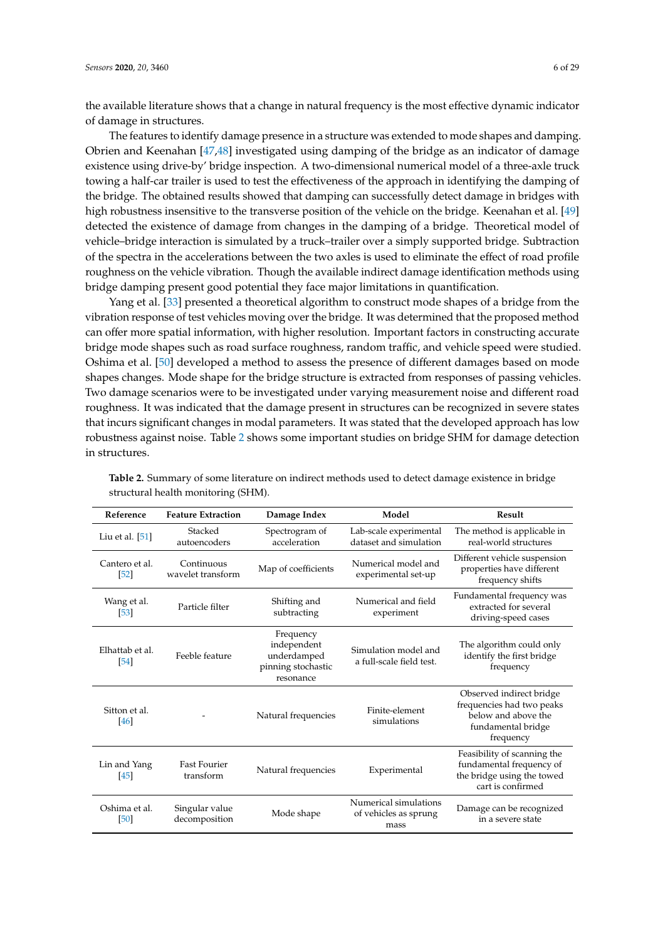the available literature shows that a change in natural frequency is the most effective dynamic indicator of damage in structures.

The features to identify damage presence in a structure was extended to mode shapes and damping. Obrien and Keenahan [\[47,](#page-21-23)[48\]](#page-22-0) investigated using damping of the bridge as an indicator of damage existence using drive-by' bridge inspection. A two-dimensional numerical model of a three-axle truck towing a half-car trailer is used to test the effectiveness of the approach in identifying the damping of the bridge. The obtained results showed that damping can successfully detect damage in bridges with high robustness insensitive to the transverse position of the vehicle on the bridge. Keenahan et al. [\[49\]](#page-22-1) detected the existence of damage from changes in the damping of a bridge. Theoretical model of vehicle–bridge interaction is simulated by a truck–trailer over a simply supported bridge. Subtraction of the spectra in the accelerations between the two axles is used to eliminate the effect of road profile roughness on the vehicle vibration. Though the available indirect damage identification methods using bridge damping present good potential they face major limitations in quantification.

Yang et al. [\[33\]](#page-21-9) presented a theoretical algorithm to construct mode shapes of a bridge from the vibration response of test vehicles moving over the bridge. It was determined that the proposed method can offer more spatial information, with higher resolution. Important factors in constructing accurate bridge mode shapes such as road surface roughness, random traffic, and vehicle speed were studied. Oshima et al. [\[50\]](#page-22-2) developed a method to assess the presence of different damages based on mode shapes changes. Mode shape for the bridge structure is extracted from responses of passing vehicles. Two damage scenarios were to be investigated under varying measurement noise and different road roughness. It was indicated that the damage present in structures can be recognized in severe states that incurs significant changes in modal parameters. It was stated that the developed approach has low robustness against noise. Table [2](#page-5-0) shows some important studies on bridge SHM for damage detection in structures.

| Reference                           | <b>Feature Extraction</b>        | Damage Index                                                               | Model                                                  | Result                                                                                                          |
|-------------------------------------|----------------------------------|----------------------------------------------------------------------------|--------------------------------------------------------|-----------------------------------------------------------------------------------------------------------------|
| Liu et al. $[51]$                   | Stacked<br>autoencoders          | Spectrogram of<br>acceleration                                             | Lab-scale experimental<br>dataset and simulation       | The method is applicable in<br>real-world structures                                                            |
| Cantero et al.<br>$\left[52\right]$ | Continuous<br>wavelet transform  | Map of coefficients                                                        | Numerical model and<br>experimental set-up             | Different vehicle suspension<br>properties have different<br>frequency shifts                                   |
| Wang et al.<br>[53]                 | Particle filter                  | Shifting and<br>subtracting                                                | Numerical and field<br>experiment                      | Fundamental frequency was<br>extracted for several<br>driving-speed cases                                       |
| Elhattab et al.<br>$[54]$           | Feeble feature                   | Frequency<br>independent<br>underdamped<br>pinning stochastic<br>resonance | Simulation model and<br>a full-scale field test.       | The algorithm could only<br>identify the first bridge<br>frequency                                              |
| Sitton et al.<br>[46]               |                                  | Natural frequencies                                                        | Finite-element<br>simulations                          | Observed indirect bridge<br>frequencies had two peaks<br>below and above the<br>fundamental bridge<br>frequency |
| Lin and Yang<br>$[45]$              | <b>Fast Fourier</b><br>transform | Natural frequencies                                                        | Experimental                                           | Feasibility of scanning the<br>fundamental frequency of<br>the bridge using the towed<br>cart is confirmed      |
| Oshima et al.<br>[50]               | Singular value<br>decomposition  | Mode shape                                                                 | Numerical simulations<br>of vehicles as sprung<br>mass | Damage can be recognized<br>in a severe state                                                                   |

<span id="page-5-0"></span>**Table 2.** Summary of some literature on indirect methods used to detect damage existence in bridge structural health monitoring (SHM).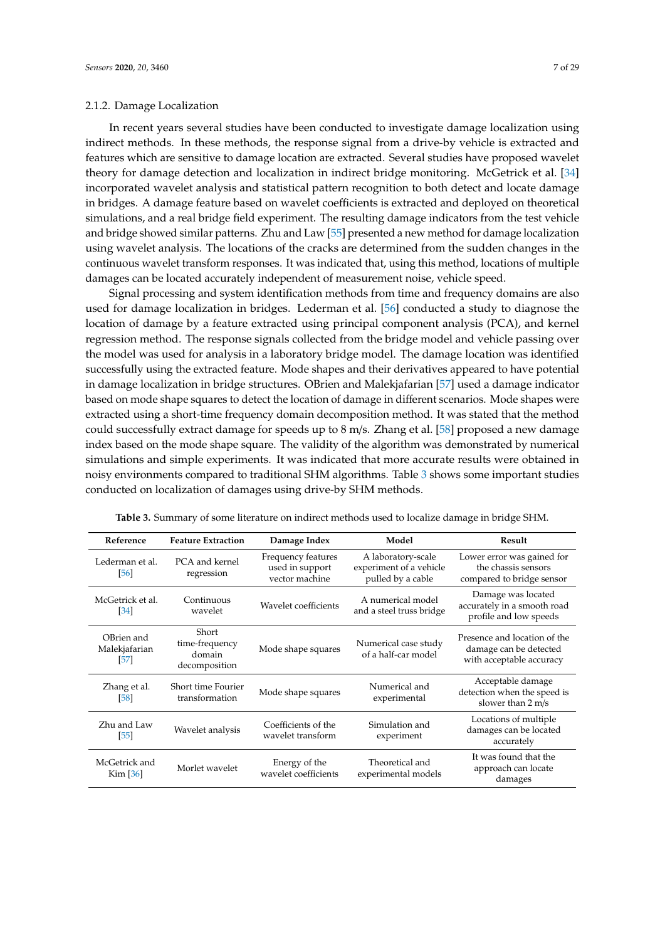## 2.1.2. Damage Localization

In recent years several studies have been conducted to investigate damage localization using indirect methods. In these methods, the response signal from a drive-by vehicle is extracted and features which are sensitive to damage location are extracted. Several studies have proposed wavelet theory for damage detection and localization in indirect bridge monitoring. McGetrick et al. [\[34\]](#page-21-10) incorporated wavelet analysis and statistical pattern recognition to both detect and locate damage in bridges. A damage feature based on wavelet coefficients is extracted and deployed on theoretical simulations, and a real bridge field experiment. The resulting damage indicators from the test vehicle and bridge showed similar patterns. Zhu and Law [\[55\]](#page-22-7) presented a new method for damage localization using wavelet analysis. The locations of the cracks are determined from the sudden changes in the continuous wavelet transform responses. It was indicated that, using this method, locations of multiple damages can be located accurately independent of measurement noise, vehicle speed.

Signal processing and system identification methods from time and frequency domains are also used for damage localization in bridges. Lederman et al. [\[56\]](#page-22-8) conducted a study to diagnose the location of damage by a feature extracted using principal component analysis (PCA), and kernel regression method. The response signals collected from the bridge model and vehicle passing over the model was used for analysis in a laboratory bridge model. The damage location was identified successfully using the extracted feature. Mode shapes and their derivatives appeared to have potential in damage localization in bridge structures. OBrien and Malekjafarian [\[57\]](#page-22-9) used a damage indicator based on mode shape squares to detect the location of damage in different scenarios. Mode shapes were extracted using a short-time frequency domain decomposition method. It was stated that the method could successfully extract damage for speeds up to 8 m/s. Zhang et al. [\[58\]](#page-22-10) proposed a new damage index based on the mode shape square. The validity of the algorithm was demonstrated by numerical simulations and simple experiments. It was indicated that more accurate results were obtained in noisy environments compared to traditional SHM algorithms. Table [3](#page-6-0) shows some important studies conducted on localization of damages using drive-by SHM methods.

<span id="page-6-0"></span>

| Reference                           | <b>Feature Extraction</b>                          | Damage Index                                            | Model                                                              | Result                                                                             |
|-------------------------------------|----------------------------------------------------|---------------------------------------------------------|--------------------------------------------------------------------|------------------------------------------------------------------------------------|
| Lederman et al.<br>[56]             | PCA and kernel<br>regression                       | Frequency features<br>used in support<br>vector machine | A laboratory-scale<br>experiment of a vehicle<br>pulled by a cable | Lower error was gained for<br>the chassis sensors<br>compared to bridge sensor     |
| McGetrick et al.<br>[34]            | Continuous<br>wavelet                              | Wavelet coefficients                                    | A numerical model<br>and a steel truss bridge                      | Damage was located<br>accurately in a smooth road<br>profile and low speeds        |
| OBrien and<br>Malekjafarian<br>[57] | Short<br>time-frequency<br>domain<br>decomposition | Mode shape squares                                      | Numerical case study<br>of a half-car model                        | Presence and location of the<br>damage can be detected<br>with acceptable accuracy |
| Zhang et al.<br>[58]                | Short time Fourier<br>transformation               | Mode shape squares                                      | Numerical and<br>experimental                                      | Acceptable damage<br>detection when the speed is<br>slower than 2 m/s              |
| Zhu and Law<br>[55]                 | Wavelet analysis                                   | Coefficients of the<br>wavelet transform                | Simulation and<br>experiment                                       | Locations of multiple<br>damages can be located<br>accurately                      |
| McGetrick and<br>Kim [36]           | Morlet wavelet                                     | Energy of the<br>wavelet coefficients                   | Theoretical and<br>experimental models                             | It was found that the<br>approach can locate<br>damages                            |

**Table 3.** Summary of some literature on indirect methods used to localize damage in bridge SHM.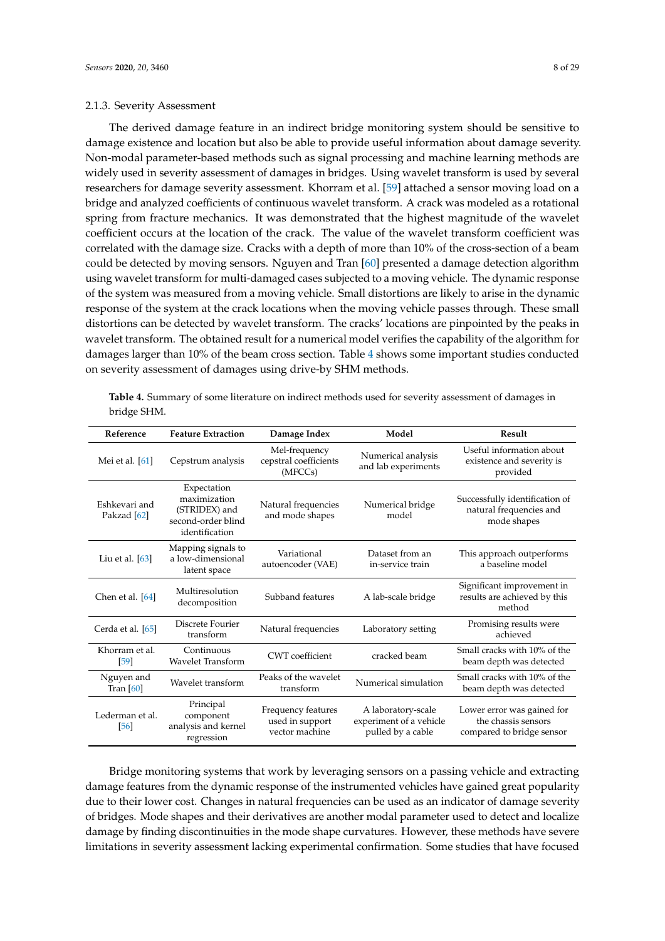#### 2.1.3. Severity Assessment

The derived damage feature in an indirect bridge monitoring system should be sensitive to damage existence and location but also be able to provide useful information about damage severity. Non-modal parameter-based methods such as signal processing and machine learning methods are widely used in severity assessment of damages in bridges. Using wavelet transform is used by several researchers for damage severity assessment. Khorram et al. [\[59\]](#page-22-11) attached a sensor moving load on a bridge and analyzed coefficients of continuous wavelet transform. A crack was modeled as a rotational spring from fracture mechanics. It was demonstrated that the highest magnitude of the wavelet coefficient occurs at the location of the crack. The value of the wavelet transform coefficient was correlated with the damage size. Cracks with a depth of more than 10% of the cross-section of a beam could be detected by moving sensors. Nguyen and Tran [\[60\]](#page-22-12) presented a damage detection algorithm using wavelet transform for multi-damaged cases subjected to a moving vehicle. The dynamic response of the system was measured from a moving vehicle. Small distortions are likely to arise in the dynamic response of the system at the crack locations when the moving vehicle passes through. These small distortions can be detected by wavelet transform. The cracks' locations are pinpointed by the peaks in wavelet transform. The obtained result for a numerical model verifies the capability of the algorithm for damages larger than 10% of the beam cross section. Table [4](#page-7-0) shows some important studies conducted on severity assessment of damages using drive-by SHM methods.

| Reference                               | <b>Feature Extraction</b>                                                            | Damage Index                                            | Model                                                              | Result                                                                         |
|-----------------------------------------|--------------------------------------------------------------------------------------|---------------------------------------------------------|--------------------------------------------------------------------|--------------------------------------------------------------------------------|
| Mei et al. [61]                         | Cepstrum analysis                                                                    | Mel-frequency<br>cepstral coefficients<br>(MFCCs)       | Numerical analysis<br>and lab experiments                          | Useful information about<br>existence and severity is<br>provided              |
| Eshkevari and<br>Pakzad <sup>[62]</sup> | Expectation<br>maximization<br>(STRIDEX) and<br>second-order blind<br>identification | Natural frequencies<br>and mode shapes                  | Numerical bridge<br>model                                          | Successfully identification of<br>natural frequencies and<br>mode shapes       |
| Liu et al. $[63]$                       | Mapping signals to<br>a low-dimensional<br>latent space                              | Variational<br>autoencoder (VAE)                        | Dataset from an<br>in-service train                                | This approach outperforms<br>a baseline model                                  |
| Chen et al. $[64]$                      | Multiresolution<br>decomposition                                                     | Subband features                                        | A lab-scale bridge                                                 | Significant improvement in<br>results are achieved by this<br>method           |
| Cerda et al. [65]                       | Discrete Fourier<br>transform                                                        | Natural frequencies                                     | Laboratory setting                                                 | Promising results were<br>achieved                                             |
| Khorram et al.<br>[59]                  | Continuous<br><b>Wavelet Transform</b>                                               | CWT coefficient                                         | cracked beam                                                       | Small cracks with 10% of the<br>beam depth was detected                        |
| Nguyen and<br>Tran $[60]$               | Wavelet transform                                                                    | Peaks of the wavelet<br>transform                       | Numerical simulation                                               | Small cracks with 10% of the<br>beam depth was detected                        |
| Lederman et al.<br>[56]                 | Principal<br>component<br>analysis and kernel<br>regression                          | Frequency features<br>used in support<br>vector machine | A laboratory-scale<br>experiment of a vehicle<br>pulled by a cable | Lower error was gained for<br>the chassis sensors<br>compared to bridge sensor |

<span id="page-7-0"></span>**Table 4.** Summary of some literature on indirect methods used for severity assessment of damages in bridge SHM.

Bridge monitoring systems that work by leveraging sensors on a passing vehicle and extracting damage features from the dynamic response of the instrumented vehicles have gained great popularity due to their lower cost. Changes in natural frequencies can be used as an indicator of damage severity of bridges. Mode shapes and their derivatives are another modal parameter used to detect and localize damage by finding discontinuities in the mode shape curvatures. However, these methods have severe limitations in severity assessment lacking experimental confirmation. Some studies that have focused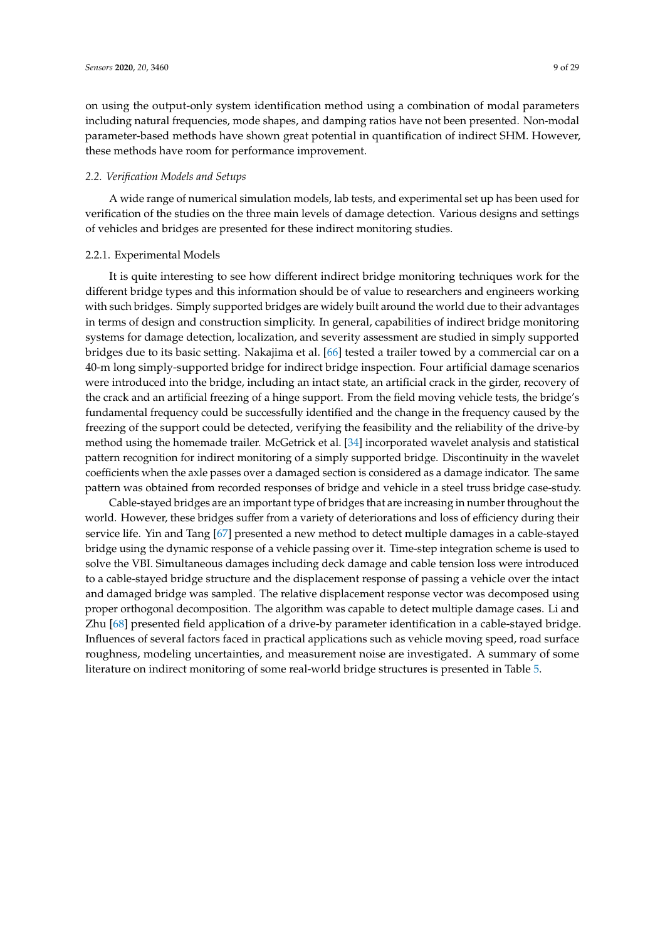on using the output-only system identification method using a combination of modal parameters including natural frequencies, mode shapes, and damping ratios have not been presented. Non-modal parameter-based methods have shown great potential in quantification of indirect SHM. However, these methods have room for performance improvement.

## *2.2. Verification Models and Setups*

A wide range of numerical simulation models, lab tests, and experimental set up has been used for verification of the studies on the three main levels of damage detection. Various designs and settings of vehicles and bridges are presented for these indirect monitoring studies.

### 2.2.1. Experimental Models

It is quite interesting to see how different indirect bridge monitoring techniques work for the different bridge types and this information should be of value to researchers and engineers working with such bridges. Simply supported bridges are widely built around the world due to their advantages in terms of design and construction simplicity. In general, capabilities of indirect bridge monitoring systems for damage detection, localization, and severity assessment are studied in simply supported bridges due to its basic setting. Nakajima et al. [\[66\]](#page-22-18) tested a trailer towed by a commercial car on a 40-m long simply-supported bridge for indirect bridge inspection. Four artificial damage scenarios were introduced into the bridge, including an intact state, an artificial crack in the girder, recovery of the crack and an artificial freezing of a hinge support. From the field moving vehicle tests, the bridge's fundamental frequency could be successfully identified and the change in the frequency caused by the freezing of the support could be detected, verifying the feasibility and the reliability of the drive-by method using the homemade trailer. McGetrick et al. [\[34\]](#page-21-10) incorporated wavelet analysis and statistical pattern recognition for indirect monitoring of a simply supported bridge. Discontinuity in the wavelet coefficients when the axle passes over a damaged section is considered as a damage indicator. The same pattern was obtained from recorded responses of bridge and vehicle in a steel truss bridge case-study.

Cable-stayed bridges are an important type of bridges that are increasing in number throughout the world. However, these bridges suffer from a variety of deteriorations and loss of efficiency during their service life. Yin and Tang [\[67\]](#page-22-19) presented a new method to detect multiple damages in a cable-stayed bridge using the dynamic response of a vehicle passing over it. Time-step integration scheme is used to solve the VBI. Simultaneous damages including deck damage and cable tension loss were introduced to a cable-stayed bridge structure and the displacement response of passing a vehicle over the intact and damaged bridge was sampled. The relative displacement response vector was decomposed using proper orthogonal decomposition. The algorithm was capable to detect multiple damage cases. Li and Zhu [\[68\]](#page-22-20) presented field application of a drive-by parameter identification in a cable-stayed bridge. Influences of several factors faced in practical applications such as vehicle moving speed, road surface roughness, modeling uncertainties, and measurement noise are investigated. A summary of some literature on indirect monitoring of some real-world bridge structures is presented in Table [5.](#page-9-0)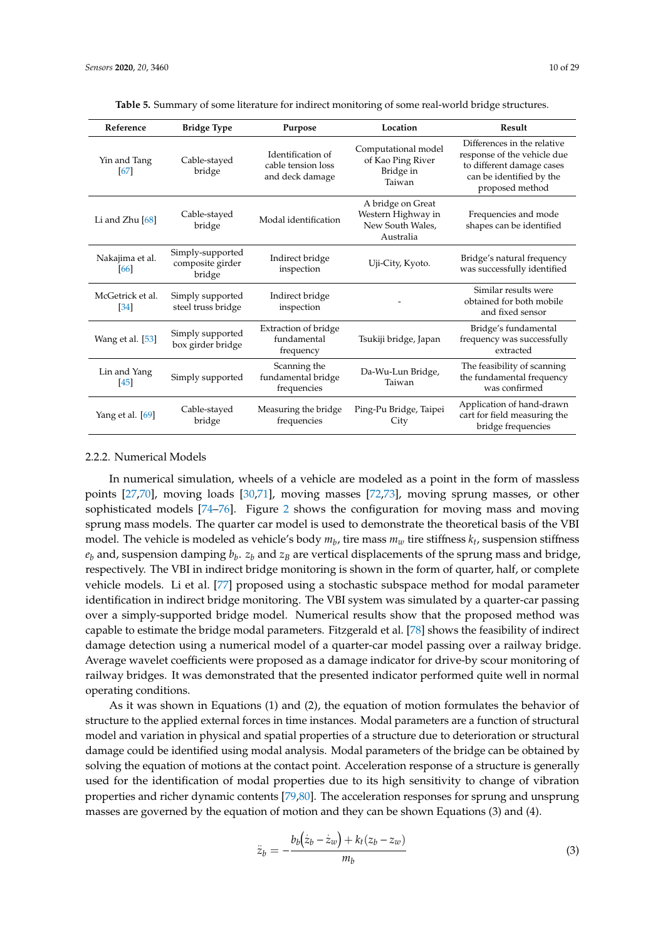<span id="page-9-0"></span>

| Reference                | <b>Bridge Type</b>                             | Purpose                                                    | Location                                                                 | Result                                                                                                                                 |
|--------------------------|------------------------------------------------|------------------------------------------------------------|--------------------------------------------------------------------------|----------------------------------------------------------------------------------------------------------------------------------------|
| Yin and Tang<br>[67]     | Cable-stayed<br>bridge                         | Identification of<br>cable tension loss<br>and deck damage | Computational model<br>of Kao Ping River<br>Bridge in<br>Taiwan          | Differences in the relative<br>response of the vehicle due<br>to different damage cases<br>can be identified by the<br>proposed method |
| Li and Zhu $[68]$        | Cable-stayed<br>bridge                         | Modal identification                                       | A bridge on Great<br>Western Highway in<br>New South Wales,<br>Australia | Frequencies and mode<br>shapes can be identified                                                                                       |
| Nakajima et al.<br>[66]  | Simply-supported<br>composite girder<br>bridge | Indirect bridge<br>inspection                              | Uji-City, Kyoto.                                                         | Bridge's natural frequency<br>was successfully identified                                                                              |
| McGetrick et al.<br>[34] | Simply supported<br>steel truss bridge         | Indirect bridge<br>inspection                              |                                                                          | Similar results were<br>obtained for both mobile<br>and fixed sensor                                                                   |
| Wang et al. [53]         | Simply supported<br>box girder bridge          | Extraction of bridge<br>fundamental<br>frequency           | Tsukiji bridge, Japan                                                    | Bridge's fundamental<br>frequency was successfully<br>extracted                                                                        |
| Lin and Yang<br>[45]     | Simply supported                               | Scanning the<br>fundamental bridge<br>frequencies          | Da-Wu-Lun Bridge,<br>Taiwan                                              | The feasibility of scanning<br>the fundamental frequency<br>was confirmed                                                              |
| Yang et al. [69]         | Cable-stayed<br>bridge                         | Measuring the bridge<br>frequencies                        | Ping-Pu Bridge, Taipei<br>City                                           | Application of hand-drawn<br>cart for field measuring the<br>bridge frequencies                                                        |

**Table 5.** Summary of some literature for indirect monitoring of some real-world bridge structures.

#### 2.2.2. Numerical Models

In numerical simulation, wheels of a vehicle are modeled as a point in the form of massless points [\[27](#page-21-3)[,70\]](#page-23-0), moving loads [\[30,](#page-21-6)[71\]](#page-23-1), moving masses [\[72,](#page-23-2)[73\]](#page-23-3), moving sprung masses, or other sophisticated models [\[74–](#page-23-4)[76\]](#page-23-5). Figure [2](#page-10-0) shows the configuration for moving mass and moving sprung mass models. The quarter car model is used to demonstrate the theoretical basis of the VBI model. The vehicle is modeled as vehicle's body  $m_b$ , tire mass  $m_w$  tire stiffness  $k_t$ , suspension stiffness  $e_b$  and, suspension damping  $b_b$ .  $z_b$  and  $z_B$  are vertical displacements of the sprung mass and bridge, respectively. The VBI in indirect bridge monitoring is shown in the form of quarter, half, or complete vehicle models. Li et al. [\[77\]](#page-23-6) proposed using a stochastic subspace method for modal parameter identification in indirect bridge monitoring. The VBI system was simulated by a quarter-car passing over a simply-supported bridge model. Numerical results show that the proposed method was capable to estimate the bridge modal parameters. Fitzgerald et al. [\[78\]](#page-23-7) shows the feasibility of indirect damage detection using a numerical model of a quarter-car model passing over a railway bridge. Average wavelet coefficients were proposed as a damage indicator for drive-by scour monitoring of railway bridges. It was demonstrated that the presented indicator performed quite well in normal operating conditions.

As it was shown in Equations (1) and (2), the equation of motion formulates the behavior of structure to the applied external forces in time instances. Modal parameters are a function of structural model and variation in physical and spatial properties of a structure due to deterioration or structural damage could be identified using modal analysis. Modal parameters of the bridge can be obtained by solving the equation of motions at the contact point. Acceleration response of a structure is generally used for the identification of modal properties due to its high sensitivity to change of vibration properties and richer dynamic contents [\[79,](#page-23-8)[80\]](#page-23-9). The acceleration responses for sprung and unsprung masses are governed by the equation of motion and they can be shown Equations (3) and (4).

$$
\ddot{z}_b = -\frac{b_b(\dot{z}_b - \dot{z}_w) + k_t(z_b - z_w)}{m_b} \tag{3}
$$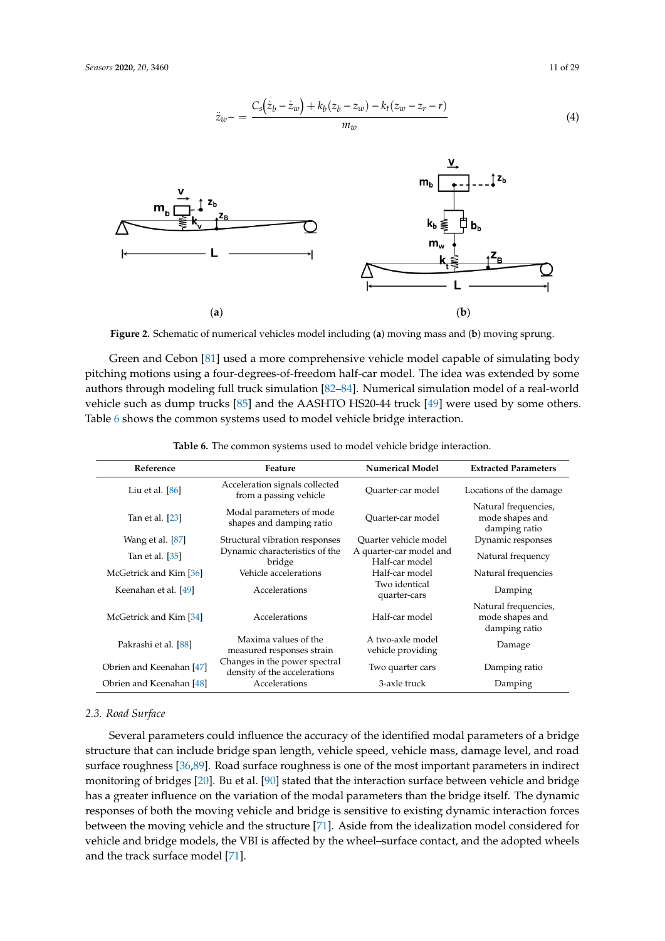<span id="page-10-0"></span>

**Figure 2.** Schematic of numerical vehicles model including (**a**) moving mass and (**b**) moving sprung.

Green and Cebon [\[81\]](#page-23-10) used a more comprehensive vehicle model capable of simulating body pitching motions using a four-degrees-of-freedom half-car model. The idea was extended by some authors through modeling full truck simulation [\[82–](#page-23-11)[84\]](#page-23-12). Numerical simulation model of a real-world vehicle such as dump trucks [\[85\]](#page-23-13) and the AASHTO HS20-44 truck [\[49\]](#page-22-1) were used by some others. Table 6 shows the common systems used to model vehicle bridge interaction.

| Reference                | Feature                                                       | <b>Numerical Model</b>                    | <b>Extracted Parameters</b>                              |
|--------------------------|---------------------------------------------------------------|-------------------------------------------|----------------------------------------------------------|
| Liu et al. $[86]$        | Acceleration signals collected<br>from a passing vehicle      | Quarter-car model                         | Locations of the damage                                  |
| Tan et al. [23]          | Modal parameters of mode<br>shapes and damping ratio          | Quarter-car model                         | Natural frequencies,<br>mode shapes and<br>damping ratio |
| Wang et al. [87]         | Structural vibration responses                                | Quarter vehicle model                     | Dynamic responses                                        |
| Tan et al. [35]          | Dynamic characteristics of the<br>bridge                      | A quarter-car model and<br>Half-car model | Natural frequency                                        |
| McGetrick and Kim [36]   | Vehicle accelerations                                         | Half-car model                            | Natural frequencies                                      |
| Keenahan et al. [49]     | Accelerations                                                 | Two identical<br>quarter-cars             | Damping                                                  |
| McGetrick and Kim [34]   | Accelerations                                                 | Half-car model                            | Natural frequencies,<br>mode shapes and<br>damping ratio |
| Pakrashi et al. [88]     | Maxima values of the<br>measured responses strain             | A two-axle model<br>vehicle providing     | Damage                                                   |
| Obrien and Keenahan [47] | Changes in the power spectral<br>density of the accelerations | Two quarter cars                          | Damping ratio                                            |
| Obrien and Keenahan [48] | Accelerations                                                 | 3-axle truck                              | Damping                                                  |

<span id="page-10-1"></span>structure is generally used for the identification of modal properties due to its high sensitivity to **Table 6.** The common systems used to model vehicle bridge interaction.

#### *2.3. Road Surface*

Several parameters could influence the accuracy of the identified modal parameters of a bridge structure that can include bridge span length, vehicle speed, vehicle mass, damage level, and road surface roughness [\[36,](#page-21-12)[89\]](#page-23-17). Road surface roughness is one of the most important parameters in indirect monitoring of bridges [\[20\]](#page-20-18). Bu et al. [\[90\]](#page-23-18) stated that the interaction surface between vehicle and bridge has a greater influence on the variation of the modal parameters than the bridge itself. The dynamic responses of both the moving vehicle and bridge is sensitive to existing dynamic interaction forces between the moving vehicle and the structure [\[71\]](#page-23-1). Aside from the idealization model considered for vehicle and bridge models, the VBI is affected by the wheel–surface contact, and the adopted wheels and the track surface model [\[71\]](#page-23-1).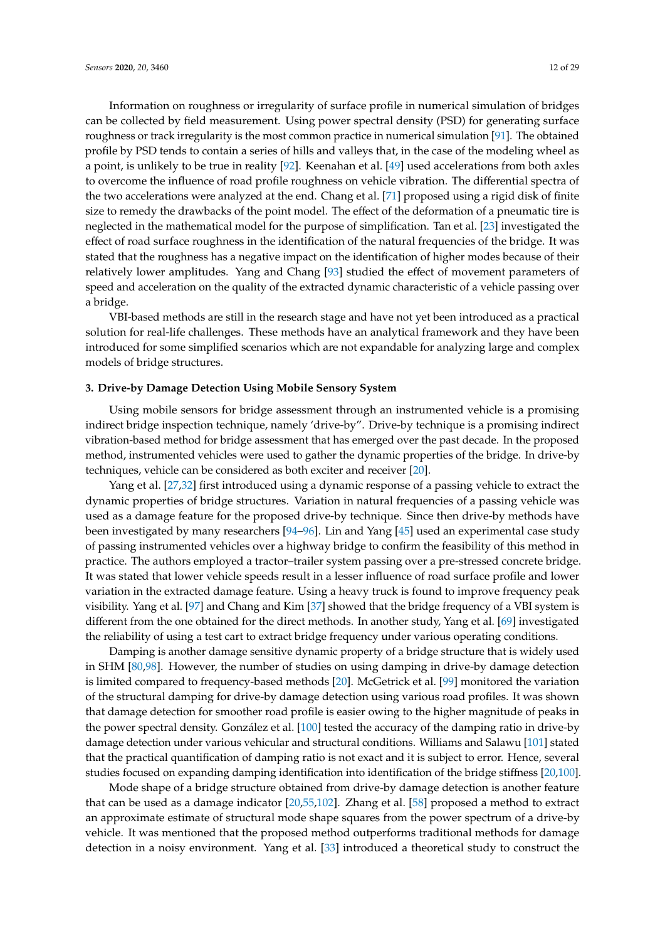Information on roughness or irregularity of surface profile in numerical simulation of bridges can be collected by field measurement. Using power spectral density (PSD) for generating surface roughness or track irregularity is the most common practice in numerical simulation [\[91\]](#page-23-19). The obtained profile by PSD tends to contain a series of hills and valleys that, in the case of the modeling wheel as a point, is unlikely to be true in reality [\[92\]](#page-23-20). Keenahan et al. [\[49\]](#page-22-1) used accelerations from both axles to overcome the influence of road profile roughness on vehicle vibration. The differential spectra of the two accelerations were analyzed at the end. Chang et al. [\[71\]](#page-23-1) proposed using a rigid disk of finite size to remedy the drawbacks of the point model. The effect of the deformation of a pneumatic tire is neglected in the mathematical model for the purpose of simplification. Tan et al. [\[23\]](#page-20-21) investigated the effect of road surface roughness in the identification of the natural frequencies of the bridge. It was stated that the roughness has a negative impact on the identification of higher modes because of their relatively lower amplitudes. Yang and Chang [\[93\]](#page-23-21) studied the effect of movement parameters of speed and acceleration on the quality of the extracted dynamic characteristic of a vehicle passing over a bridge.

VBI-based methods are still in the research stage and have not yet been introduced as a practical solution for real-life challenges. These methods have an analytical framework and they have been introduced for some simplified scenarios which are not expandable for analyzing large and complex models of bridge structures.

#### **3. Drive-by Damage Detection Using Mobile Sensory System**

Using mobile sensors for bridge assessment through an instrumented vehicle is a promising indirect bridge inspection technique, namely 'drive-by". Drive-by technique is a promising indirect vibration-based method for bridge assessment that has emerged over the past decade. In the proposed method, instrumented vehicles were used to gather the dynamic properties of the bridge. In drive-by techniques, vehicle can be considered as both exciter and receiver [\[20\]](#page-20-18).

Yang et al. [\[27,](#page-21-3)[32\]](#page-21-8) first introduced using a dynamic response of a passing vehicle to extract the dynamic properties of bridge structures. Variation in natural frequencies of a passing vehicle was used as a damage feature for the proposed drive-by technique. Since then drive-by methods have been investigated by many researchers [\[94–](#page-23-22)[96\]](#page-24-0). Lin and Yang [\[45\]](#page-21-21) used an experimental case study of passing instrumented vehicles over a highway bridge to confirm the feasibility of this method in practice. The authors employed a tractor–trailer system passing over a pre-stressed concrete bridge. It was stated that lower vehicle speeds result in a lesser influence of road surface profile and lower variation in the extracted damage feature. Using a heavy truck is found to improve frequency peak visibility. Yang et al. [\[97\]](#page-24-1) and Chang and Kim [\[37\]](#page-21-13) showed that the bridge frequency of a VBI system is different from the one obtained for the direct methods. In another study, Yang et al. [\[69\]](#page-22-21) investigated the reliability of using a test cart to extract bridge frequency under various operating conditions.

Damping is another damage sensitive dynamic property of a bridge structure that is widely used in SHM [\[80](#page-23-9)[,98\]](#page-24-2). However, the number of studies on using damping in drive-by damage detection is limited compared to frequency-based methods [\[20\]](#page-20-18). McGetrick et al. [\[99\]](#page-24-3) monitored the variation of the structural damping for drive-by damage detection using various road profiles. It was shown that damage detection for smoother road profile is easier owing to the higher magnitude of peaks in the power spectral density. González et al. [\[100\]](#page-24-4) tested the accuracy of the damping ratio in drive-by damage detection under various vehicular and structural conditions. Williams and Salawu [\[101\]](#page-24-5) stated that the practical quantification of damping ratio is not exact and it is subject to error. Hence, several studies focused on expanding damping identification into identification of the bridge stiffness [\[20](#page-20-18)[,100\]](#page-24-4).

Mode shape of a bridge structure obtained from drive-by damage detection is another feature that can be used as a damage indicator [\[20](#page-20-18)[,55](#page-22-7)[,102\]](#page-24-6). Zhang et al. [\[58\]](#page-22-10) proposed a method to extract an approximate estimate of structural mode shape squares from the power spectrum of a drive-by vehicle. It was mentioned that the proposed method outperforms traditional methods for damage detection in a noisy environment. Yang et al. [\[33\]](#page-21-9) introduced a theoretical study to construct the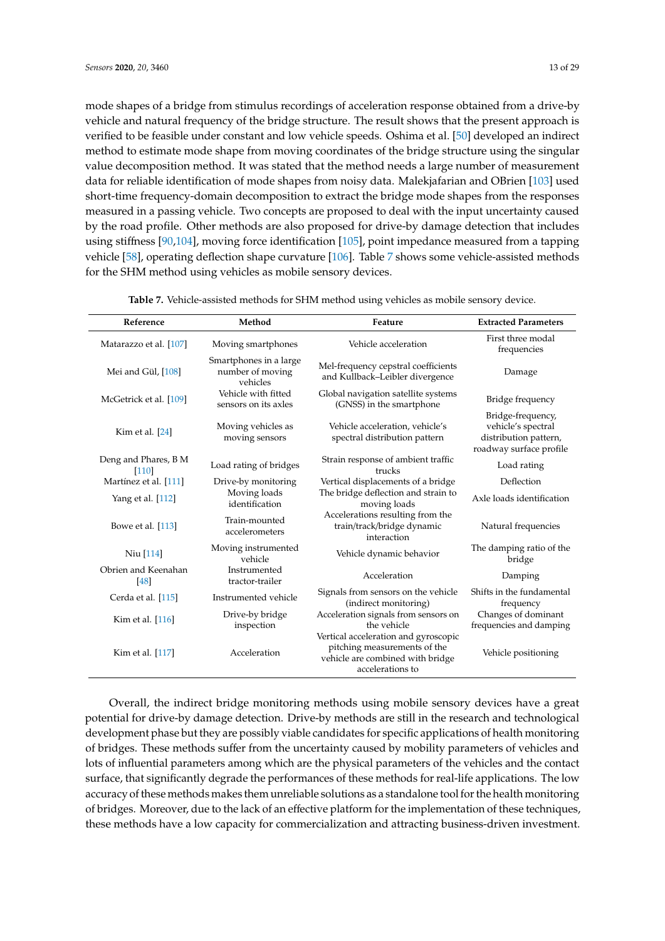mode shapes of a bridge from stimulus recordings of acceleration response obtained from a drive-by vehicle and natural frequency of the bridge structure. The result shows that the present approach is verified to be feasible under constant and low vehicle speeds. Oshima et al. [\[50\]](#page-22-2) developed an indirect method to estimate mode shape from moving coordinates of the bridge structure using the singular value decomposition method. It was stated that the method needs a large number of measurement data for reliable identification of mode shapes from noisy data. Malekjafarian and OBrien [\[103\]](#page-24-7) used short-time frequency-domain decomposition to extract the bridge mode shapes from the responses measured in a passing vehicle. Two concepts are proposed to deal with the input uncertainty caused by the road profile. Other methods are also proposed for drive-by damage detection that includes using stiffness [\[90](#page-23-18)[,104\]](#page-24-8), moving force identification [\[105\]](#page-24-9), point impedance measured from a tapping vehicle [\[58\]](#page-22-10), operating deflection shape curvature [\[106\]](#page-24-10). Table [7](#page-12-0) shows some vehicle-assisted methods for the SHM method using vehicles as mobile sensory devices.

<span id="page-12-0"></span>

| Reference                       | Method                                                 | Feature                                                                                                                      | <b>Extracted Parameters</b>                                                                 |
|---------------------------------|--------------------------------------------------------|------------------------------------------------------------------------------------------------------------------------------|---------------------------------------------------------------------------------------------|
| Matarazzo et al. [107]          | Moving smartphones                                     | Vehicle acceleration                                                                                                         | First three modal<br>frequencies                                                            |
| Mei and Gül, [108]              | Smartphones in a large<br>number of moving<br>vehicles | Mel-frequency cepstral coefficients<br>and Kullback-Leibler divergence                                                       | Damage                                                                                      |
| McGetrick et al. [109]          | Vehicle with fitted<br>sensors on its axles            | Global navigation satellite systems<br>(GNSS) in the smartphone                                                              | Bridge frequency                                                                            |
| Kim et al. [24]                 | Moving vehicles as<br>moving sensors                   | Vehicle acceleration, vehicle's<br>spectral distribution pattern                                                             | Bridge-frequency,<br>vehicle's spectral<br>distribution pattern,<br>roadway surface profile |
| Deng and Phares, B M<br>$[110]$ | Load rating of bridges                                 | Strain response of ambient traffic<br>trucks                                                                                 | Load rating                                                                                 |
| Martínez et al. [111]           | Drive-by monitoring                                    | Vertical displacements of a bridge                                                                                           | Deflection                                                                                  |
| Yang et al. [112]               | Moving loads<br>identification                         | The bridge deflection and strain to<br>moving loads                                                                          | Axle loads identification                                                                   |
| Bowe et al. [113]               | Train-mounted<br>accelerometers                        | Accelerations resulting from the<br>train/track/bridge dynamic<br>interaction                                                | Natural frequencies                                                                         |
| Niu [114]                       | Moving instrumented<br>vehicle                         | Vehicle dynamic behavior                                                                                                     | The damping ratio of the<br>bridge                                                          |
| Obrien and Keenahan<br>[48]     | Instrumented<br>tractor-trailer                        | Acceleration                                                                                                                 | Damping                                                                                     |
| Cerda et al. [115]              | Instrumented vehicle                                   | Signals from sensors on the vehicle<br>(indirect monitoring)                                                                 | Shifts in the fundamental<br>frequency                                                      |
| Kim et al. [116]                | Drive-by bridge<br>inspection                          | Acceleration signals from sensors on<br>the vehicle                                                                          | Changes of dominant<br>frequencies and damping                                              |
| Kim et al. [117]                | Acceleration                                           | Vertical acceleration and gyroscopic<br>pitching measurements of the<br>vehicle are combined with bridge<br>accelerations to | Vehicle positioning                                                                         |

**Table 7.** Vehicle-assisted methods for SHM method using vehicles as mobile sensory device.

Overall, the indirect bridge monitoring methods using mobile sensory devices have a great potential for drive-by damage detection. Drive-by methods are still in the research and technological development phase but they are possibly viable candidates for specific applications of health monitoring of bridges. These methods suffer from the uncertainty caused by mobility parameters of vehicles and lots of influential parameters among which are the physical parameters of the vehicles and the contact surface, that significantly degrade the performances of these methods for real-life applications. The low accuracy of these methods makes them unreliable solutions as a standalone tool for the health monitoring of bridges. Moreover, due to the lack of an effective platform for the implementation of these techniques, these methods have a low capacity for commercialization and attracting business-driven investment.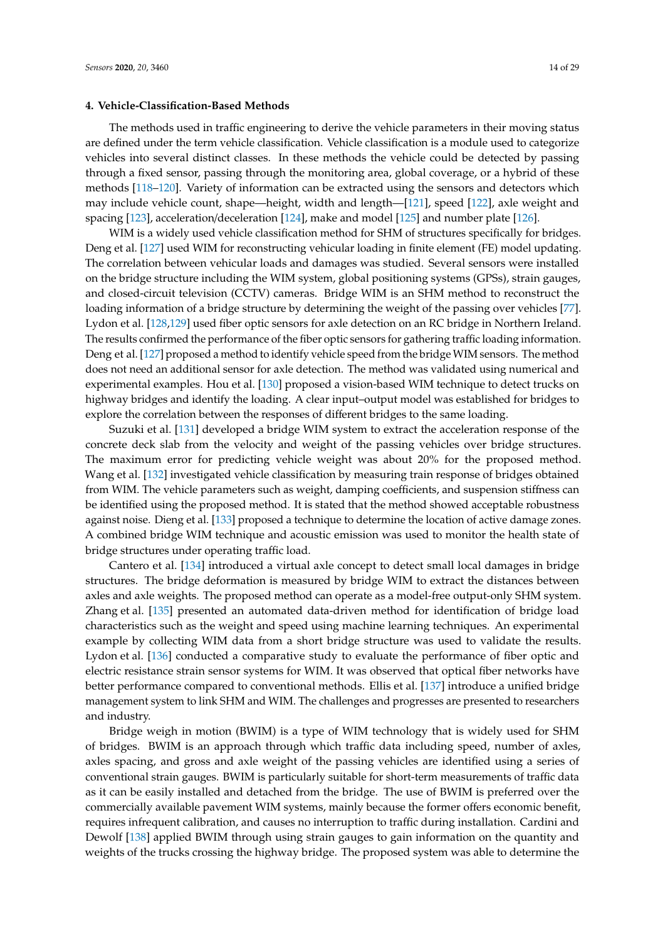#### **4. Vehicle-Classification-Based Methods**

The methods used in traffic engineering to derive the vehicle parameters in their moving status are defined under the term vehicle classification. Vehicle classification is a module used to categorize vehicles into several distinct classes. In these methods the vehicle could be detected by passing through a fixed sensor, passing through the monitoring area, global coverage, or a hybrid of these methods [\[118–](#page-25-2)[120\]](#page-25-3). Variety of information can be extracted using the sensors and detectors which may include vehicle count, shape—height, width and length—[\[121\]](#page-25-4), speed [\[122\]](#page-25-5), axle weight and spacing [\[123\]](#page-25-6), acceleration/deceleration [\[124\]](#page-25-7), make and model [\[125\]](#page-25-8) and number plate [\[126\]](#page-25-9).

WIM is a widely used vehicle classification method for SHM of structures specifically for bridges. Deng et al. [\[127\]](#page-25-10) used WIM for reconstructing vehicular loading in finite element (FE) model updating. The correlation between vehicular loads and damages was studied. Several sensors were installed on the bridge structure including the WIM system, global positioning systems (GPSs), strain gauges, and closed-circuit television (CCTV) cameras. Bridge WIM is an SHM method to reconstruct the loading information of a bridge structure by determining the weight of the passing over vehicles [\[77\]](#page-23-6). Lydon et al. [\[128,](#page-25-11)[129\]](#page-25-12) used fiber optic sensors for axle detection on an RC bridge in Northern Ireland. The results confirmed the performance of the fiber optic sensors for gathering traffic loading information. Deng et al. [\[127\]](#page-25-10) proposed a method to identify vehicle speed from the bridge WIM sensors. The method does not need an additional sensor for axle detection. The method was validated using numerical and experimental examples. Hou et al. [\[130\]](#page-25-13) proposed a vision-based WIM technique to detect trucks on highway bridges and identify the loading. A clear input–output model was established for bridges to explore the correlation between the responses of different bridges to the same loading.

Suzuki et al. [\[131\]](#page-25-14) developed a bridge WIM system to extract the acceleration response of the concrete deck slab from the velocity and weight of the passing vehicles over bridge structures. The maximum error for predicting vehicle weight was about 20% for the proposed method. Wang et al. [\[132\]](#page-25-15) investigated vehicle classification by measuring train response of bridges obtained from WIM. The vehicle parameters such as weight, damping coefficients, and suspension stiffness can be identified using the proposed method. It is stated that the method showed acceptable robustness against noise. Dieng et al. [\[133\]](#page-25-16) proposed a technique to determine the location of active damage zones. A combined bridge WIM technique and acoustic emission was used to monitor the health state of bridge structures under operating traffic load.

Cantero et al. [\[134\]](#page-25-17) introduced a virtual axle concept to detect small local damages in bridge structures. The bridge deformation is measured by bridge WIM to extract the distances between axles and axle weights. The proposed method can operate as a model-free output-only SHM system. Zhang et al. [\[135\]](#page-25-18) presented an automated data-driven method for identification of bridge load characteristics such as the weight and speed using machine learning techniques. An experimental example by collecting WIM data from a short bridge structure was used to validate the results. Lydon et al. [\[136\]](#page-25-19) conducted a comparative study to evaluate the performance of fiber optic and electric resistance strain sensor systems for WIM. It was observed that optical fiber networks have better performance compared to conventional methods. Ellis et al. [\[137\]](#page-26-0) introduce a unified bridge management system to link SHM and WIM. The challenges and progresses are presented to researchers and industry.

Bridge weigh in motion (BWIM) is a type of WIM technology that is widely used for SHM of bridges. BWIM is an approach through which traffic data including speed, number of axles, axles spacing, and gross and axle weight of the passing vehicles are identified using a series of conventional strain gauges. BWIM is particularly suitable for short-term measurements of traffic data as it can be easily installed and detached from the bridge. The use of BWIM is preferred over the commercially available pavement WIM systems, mainly because the former offers economic benefit, requires infrequent calibration, and causes no interruption to traffic during installation. Cardini and Dewolf [\[138\]](#page-26-1) applied BWIM through using strain gauges to gain information on the quantity and weights of the trucks crossing the highway bridge. The proposed system was able to determine the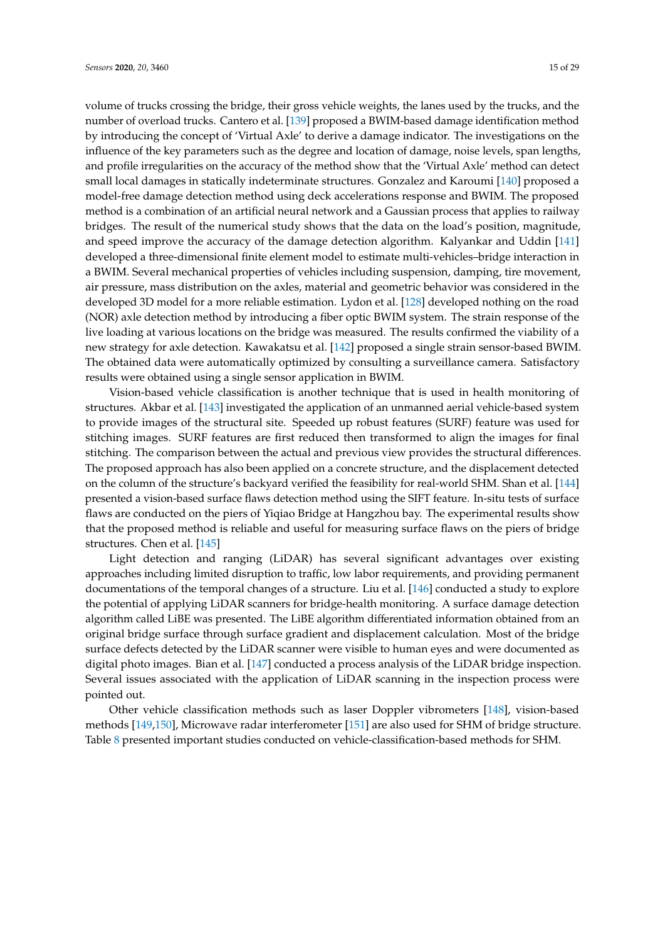volume of trucks crossing the bridge, their gross vehicle weights, the lanes used by the trucks, and the number of overload trucks. Cantero et al. [\[139\]](#page-26-2) proposed a BWIM-based damage identification method by introducing the concept of 'Virtual Axle' to derive a damage indicator. The investigations on the influence of the key parameters such as the degree and location of damage, noise levels, span lengths, and profile irregularities on the accuracy of the method show that the 'Virtual Axle' method can detect small local damages in statically indeterminate structures. Gonzalez and Karoumi [\[140\]](#page-26-3) proposed a model-free damage detection method using deck accelerations response and BWIM. The proposed method is a combination of an artificial neural network and a Gaussian process that applies to railway bridges. The result of the numerical study shows that the data on the load's position, magnitude, and speed improve the accuracy of the damage detection algorithm. Kalyankar and Uddin [\[141\]](#page-26-4) developed a three-dimensional finite element model to estimate multi-vehicles–bridge interaction in a BWIM. Several mechanical properties of vehicles including suspension, damping, tire movement, air pressure, mass distribution on the axles, material and geometric behavior was considered in the developed 3D model for a more reliable estimation. Lydon et al. [\[128\]](#page-25-11) developed nothing on the road (NOR) axle detection method by introducing a fiber optic BWIM system. The strain response of the live loading at various locations on the bridge was measured. The results confirmed the viability of a new strategy for axle detection. Kawakatsu et al. [\[142\]](#page-26-5) proposed a single strain sensor-based BWIM. The obtained data were automatically optimized by consulting a surveillance camera. Satisfactory results were obtained using a single sensor application in BWIM.

Vision-based vehicle classification is another technique that is used in health monitoring of structures. Akbar et al. [\[143\]](#page-26-6) investigated the application of an unmanned aerial vehicle-based system to provide images of the structural site. Speeded up robust features (SURF) feature was used for stitching images. SURF features are first reduced then transformed to align the images for final stitching. The comparison between the actual and previous view provides the structural differences. The proposed approach has also been applied on a concrete structure, and the displacement detected on the column of the structure's backyard verified the feasibility for real-world SHM. Shan et al. [\[144\]](#page-26-7) presented a vision-based surface flaws detection method using the SIFT feature. In-situ tests of surface flaws are conducted on the piers of Yiqiao Bridge at Hangzhou bay. The experimental results show that the proposed method is reliable and useful for measuring surface flaws on the piers of bridge structures. Chen et al. [\[145\]](#page-26-8)

Light detection and ranging (LiDAR) has several significant advantages over existing approaches including limited disruption to traffic, low labor requirements, and providing permanent documentations of the temporal changes of a structure. Liu et al. [\[146\]](#page-26-9) conducted a study to explore the potential of applying LiDAR scanners for bridge-health monitoring. A surface damage detection algorithm called LiBE was presented. The LiBE algorithm differentiated information obtained from an original bridge surface through surface gradient and displacement calculation. Most of the bridge surface defects detected by the LiDAR scanner were visible to human eyes and were documented as digital photo images. Bian et al. [\[147\]](#page-26-10) conducted a process analysis of the LiDAR bridge inspection. Several issues associated with the application of LiDAR scanning in the inspection process were pointed out.

Other vehicle classification methods such as laser Doppler vibrometers [\[148\]](#page-26-11), vision-based methods [\[149](#page-26-12)[,150\]](#page-26-13), Microwave radar interferometer [\[151\]](#page-26-14) are also used for SHM of bridge structure. Table [8](#page-15-0) presented important studies conducted on vehicle-classification-based methods for SHM.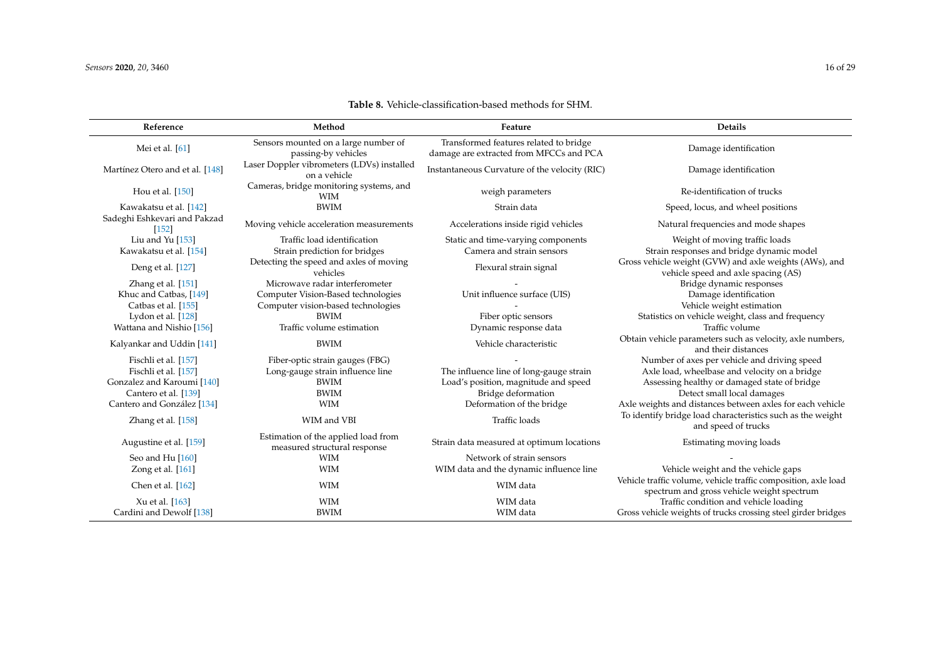<span id="page-15-0"></span>

| Reference                             | Method                                                              | Feature                                                                           | <b>Details</b>                                                                                               |
|---------------------------------------|---------------------------------------------------------------------|-----------------------------------------------------------------------------------|--------------------------------------------------------------------------------------------------------------|
| Mei et al. [61]                       | Sensors mounted on a large number of<br>passing-by vehicles         | Transformed features related to bridge<br>damage are extracted from MFCCs and PCA | Damage identification                                                                                        |
| Martínez Otero and et al. [148]       | Laser Doppler vibrometers (LDVs) installed<br>on a vehicle          | Instantaneous Curvature of the velocity (RIC)                                     | Damage identification                                                                                        |
| Hou et al. [150]                      | Cameras, bridge monitoring systems, and<br><b>WIM</b>               | weigh parameters                                                                  | Re-identification of trucks                                                                                  |
| Kawakatsu et al. [142]                | <b>BWIM</b>                                                         | Strain data                                                                       | Speed, locus, and wheel positions                                                                            |
| Sadeghi Eshkevari and Pakzad<br>[152] | Moving vehicle acceleration measurements                            | Accelerations inside rigid vehicles                                               | Natural frequencies and mode shapes                                                                          |
| Liu and Yu [153]                      | Traffic load identification                                         | Static and time-varying components                                                | Weight of moving traffic loads                                                                               |
| Kawakatsu et al. [154]                | Strain prediction for bridges                                       | Camera and strain sensors                                                         | Strain responses and bridge dynamic model                                                                    |
| Deng et al. [127]                     | Detecting the speed and axles of moving<br>vehicles                 | Flexural strain signal                                                            | Gross vehicle weight (GVW) and axle weights (AWs), and<br>vehicle speed and axle spacing (AS)                |
| Zhang et al. [151]                    | Microwave radar interferometer                                      |                                                                                   | Bridge dynamic responses                                                                                     |
| Khuc and Catbas, [149]                | Computer Vision-Based technologies                                  | Unit influence surface (UIS)                                                      | Damage identification                                                                                        |
| Catbas et al. [155]                   | Computer vision-based technologies                                  |                                                                                   | Vehicle weight estimation                                                                                    |
| Lydon et al. [128]                    | <b>BWIM</b>                                                         | Fiber optic sensors                                                               | Statistics on vehicle weight, class and frequency                                                            |
| Wattana and Nishio [156]              | Traffic volume estimation                                           | Dynamic response data                                                             | Traffic volume                                                                                               |
| Kalyankar and Uddin [141]             | <b>BWIM</b>                                                         | Vehicle characteristic                                                            | Obtain vehicle parameters such as velocity, axle numbers,<br>and their distances                             |
| Fischli et al. [157]                  | Fiber-optic strain gauges (FBG)                                     |                                                                                   | Number of axes per vehicle and driving speed                                                                 |
| Fischli et al. [157]                  | Long-gauge strain influence line                                    | The influence line of long-gauge strain                                           | Axle load, wheelbase and velocity on a bridge                                                                |
| Gonzalez and Karoumi [140]            | <b>BWIM</b>                                                         | Load's position, magnitude and speed                                              | Assessing healthy or damaged state of bridge                                                                 |
| Cantero et al. [139]                  | <b>BWIM</b>                                                         | Bridge deformation                                                                | Detect small local damages                                                                                   |
| Cantero and González [134]            | <b>WIM</b>                                                          | Deformation of the bridge                                                         | Axle weights and distances between axles for each vehicle                                                    |
| Zhang et al. $[158]$                  | WIM and VBI                                                         | Traffic loads                                                                     | To identify bridge load characteristics such as the weight<br>and speed of trucks                            |
| Augustine et al. [159]                | Estimation of the applied load from<br>measured structural response | Strain data measured at optimum locations                                         | Estimating moving loads                                                                                      |
| Seo and Hu [160]                      | <b>WIM</b>                                                          | Network of strain sensors                                                         |                                                                                                              |
| Zong et al. [161]                     | <b>WIM</b>                                                          | WIM data and the dynamic influence line                                           | Vehicle weight and the vehicle gaps                                                                          |
| Chen et al. [162]                     | <b>WIM</b>                                                          | WIM data                                                                          | Vehicle traffic volume, vehicle traffic composition, axle load<br>spectrum and gross vehicle weight spectrum |
| Xu et al. [163]                       | <b>WIM</b>                                                          | WIM data                                                                          | Traffic condition and vehicle loading                                                                        |
| Cardini and Dewolf [138]              | <b>BWIM</b>                                                         | WIM data                                                                          | Gross vehicle weights of trucks crossing steel girder bridges                                                |

**Table 8.** Vehicle-classification-based methods for SHM.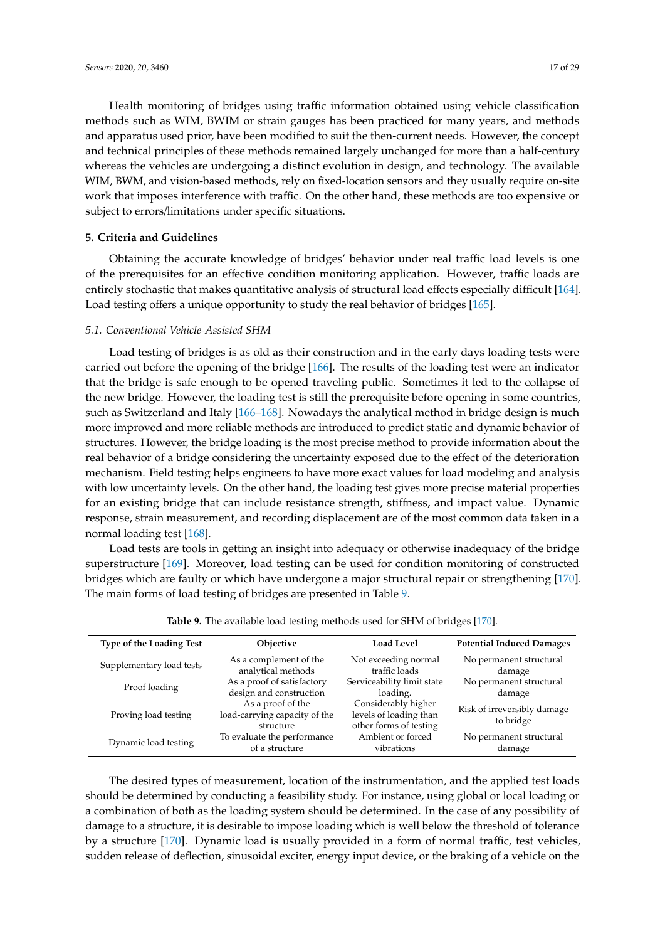Health monitoring of bridges using traffic information obtained using vehicle classification methods such as WIM, BWIM or strain gauges has been practiced for many years, and methods and apparatus used prior, have been modified to suit the then-current needs. However, the concept and technical principles of these methods remained largely unchanged for more than a half-century whereas the vehicles are undergoing a distinct evolution in design, and technology. The available WIM, BWM, and vision-based methods, rely on fixed-location sensors and they usually require on-site work that imposes interference with traffic. On the other hand, these methods are too expensive or subject to errors/limitations under specific situations.

## **5. Criteria and Guidelines**

Obtaining the accurate knowledge of bridges' behavior under real traffic load levels is one of the prerequisites for an effective condition monitoring application. However, traffic loads are entirely stochastic that makes quantitative analysis of structural load effects especially difficult [\[164\]](#page-27-7). Load testing offers a unique opportunity to study the real behavior of bridges [\[165\]](#page-27-8).

#### *5.1. Conventional Vehicle-Assisted SHM*

Load testing of bridges is as old as their construction and in the early days loading tests were carried out before the opening of the bridge [\[166\]](#page-27-9). The results of the loading test were an indicator that the bridge is safe enough to be opened traveling public. Sometimes it led to the collapse of the new bridge. However, the loading test is still the prerequisite before opening in some countries, such as Switzerland and Italy [\[166–](#page-27-9)[168\]](#page-27-10). Nowadays the analytical method in bridge design is much more improved and more reliable methods are introduced to predict static and dynamic behavior of structures. However, the bridge loading is the most precise method to provide information about the real behavior of a bridge considering the uncertainty exposed due to the effect of the deterioration mechanism. Field testing helps engineers to have more exact values for load modeling and analysis with low uncertainty levels. On the other hand, the loading test gives more precise material properties for an existing bridge that can include resistance strength, stiffness, and impact value. Dynamic response, strain measurement, and recording displacement are of the most common data taken in a normal loading test [\[168\]](#page-27-10).

Load tests are tools in getting an insight into adequacy or otherwise inadequacy of the bridge superstructure [\[169\]](#page-27-11). Moreover, load testing can be used for condition monitoring of constructed bridges which are faulty or which have undergone a major structural repair or strengthening [\[170\]](#page-27-12). The main forms of load testing of bridges are presented in Table [9.](#page-16-0)

<span id="page-16-0"></span>

| Type of the Loading Test | <b>Objective</b>                                                | <b>Load Level</b>                                                       | <b>Potential Induced Damages</b>         |
|--------------------------|-----------------------------------------------------------------|-------------------------------------------------------------------------|------------------------------------------|
| Supplementary load tests | As a complement of the                                          | Not exceeding normal                                                    | No permanent structural                  |
|                          | analytical methods                                              | traffic loads                                                           | damage                                   |
| Proof loading            | As a proof of satisfactory                                      | Serviceability limit state                                              | No permanent structural                  |
|                          | design and construction                                         | loading.                                                                | damage                                   |
| Proving load testing     | As a proof of the<br>load-carrying capacity of the<br>structure | Considerably higher<br>levels of loading than<br>other forms of testing | Risk of irreversibly damage<br>to bridge |
| Dynamic load testing     | To evaluate the performance                                     | Ambient or forced                                                       | No permanent structural                  |
|                          | of a structure                                                  | vibrations                                                              | damage                                   |

**Table 9.** The available load testing methods used for SHM of bridges [\[170\]](#page-27-12).

The desired types of measurement, location of the instrumentation, and the applied test loads should be determined by conducting a feasibility study. For instance, using global or local loading or a combination of both as the loading system should be determined. In the case of any possibility of damage to a structure, it is desirable to impose loading which is well below the threshold of tolerance by a structure [\[170\]](#page-27-12). Dynamic load is usually provided in a form of normal traffic, test vehicles, sudden release of deflection, sinusoidal exciter, energy input device, or the braking of a vehicle on the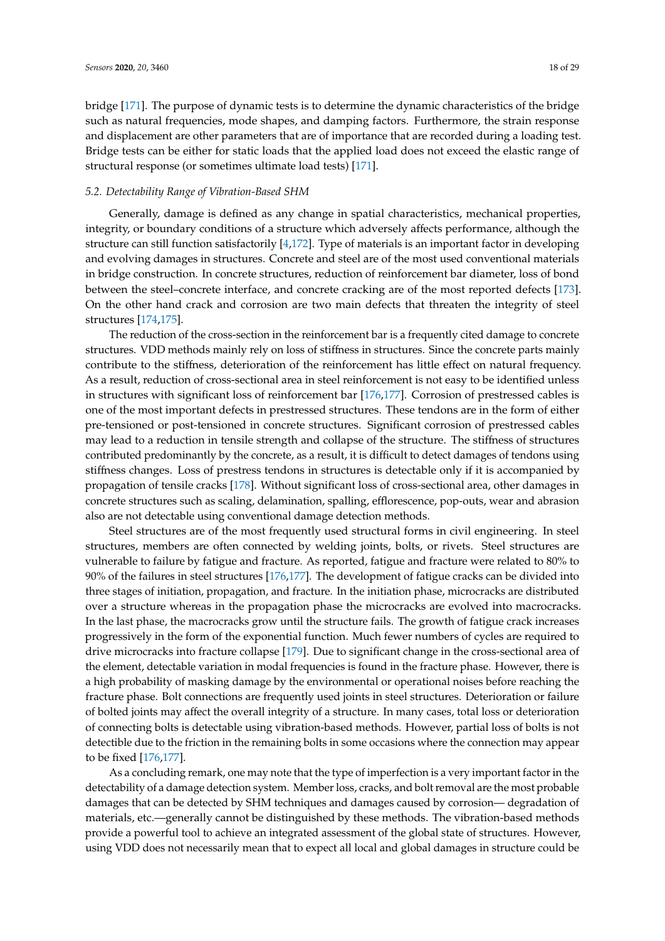bridge [\[171\]](#page-27-13). The purpose of dynamic tests is to determine the dynamic characteristics of the bridge such as natural frequencies, mode shapes, and damping factors. Furthermore, the strain response and displacement are other parameters that are of importance that are recorded during a loading test. Bridge tests can be either for static loads that the applied load does not exceed the elastic range of structural response (or sometimes ultimate load tests) [\[171\]](#page-27-13).

### *5.2. Detectability Range of Vibration-Based SHM*

Generally, damage is defined as any change in spatial characteristics, mechanical properties, integrity, or boundary conditions of a structure which adversely affects performance, although the structure can still function satisfactorily [\[4,](#page-20-22)[172\]](#page-27-14). Type of materials is an important factor in developing and evolving damages in structures. Concrete and steel are of the most used conventional materials in bridge construction. In concrete structures, reduction of reinforcement bar diameter, loss of bond between the steel–concrete interface, and concrete cracking are of the most reported defects [\[173\]](#page-27-15). On the other hand crack and corrosion are two main defects that threaten the integrity of steel structures [\[174,](#page-27-16)[175\]](#page-27-17).

The reduction of the cross-section in the reinforcement bar is a frequently cited damage to concrete structures. VDD methods mainly rely on loss of stiffness in structures. Since the concrete parts mainly contribute to the stiffness, deterioration of the reinforcement has little effect on natural frequency. As a result, reduction of cross-sectional area in steel reinforcement is not easy to be identified unless in structures with significant loss of reinforcement bar [\[176,](#page-27-18)[177\]](#page-27-19). Corrosion of prestressed cables is one of the most important defects in prestressed structures. These tendons are in the form of either pre-tensioned or post-tensioned in concrete structures. Significant corrosion of prestressed cables may lead to a reduction in tensile strength and collapse of the structure. The stiffness of structures contributed predominantly by the concrete, as a result, it is difficult to detect damages of tendons using stiffness changes. Loss of prestress tendons in structures is detectable only if it is accompanied by propagation of tensile cracks [\[178\]](#page-27-20). Without significant loss of cross-sectional area, other damages in concrete structures such as scaling, delamination, spalling, efflorescence, pop-outs, wear and abrasion also are not detectable using conventional damage detection methods.

Steel structures are of the most frequently used structural forms in civil engineering. In steel structures, members are often connected by welding joints, bolts, or rivets. Steel structures are vulnerable to failure by fatigue and fracture. As reported, fatigue and fracture were related to 80% to 90% of the failures in steel structures [\[176,](#page-27-18)[177\]](#page-27-19). The development of fatigue cracks can be divided into three stages of initiation, propagation, and fracture. In the initiation phase, microcracks are distributed over a structure whereas in the propagation phase the microcracks are evolved into macrocracks. In the last phase, the macrocracks grow until the structure fails. The growth of fatigue crack increases progressively in the form of the exponential function. Much fewer numbers of cycles are required to drive microcracks into fracture collapse [\[179\]](#page-28-0). Due to significant change in the cross-sectional area of the element, detectable variation in modal frequencies is found in the fracture phase. However, there is a high probability of masking damage by the environmental or operational noises before reaching the fracture phase. Bolt connections are frequently used joints in steel structures. Deterioration or failure of bolted joints may affect the overall integrity of a structure. In many cases, total loss or deterioration of connecting bolts is detectable using vibration-based methods. However, partial loss of bolts is not detectible due to the friction in the remaining bolts in some occasions where the connection may appear to be fixed [\[176](#page-27-18)[,177\]](#page-27-19).

As a concluding remark, one may note that the type of imperfection is a very important factor in the detectability of a damage detection system. Member loss, cracks, and bolt removal are the most probable damages that can be detected by SHM techniques and damages caused by corrosion— degradation of materials, etc.—generally cannot be distinguished by these methods. The vibration-based methods provide a powerful tool to achieve an integrated assessment of the global state of structures. However, using VDD does not necessarily mean that to expect all local and global damages in structure could be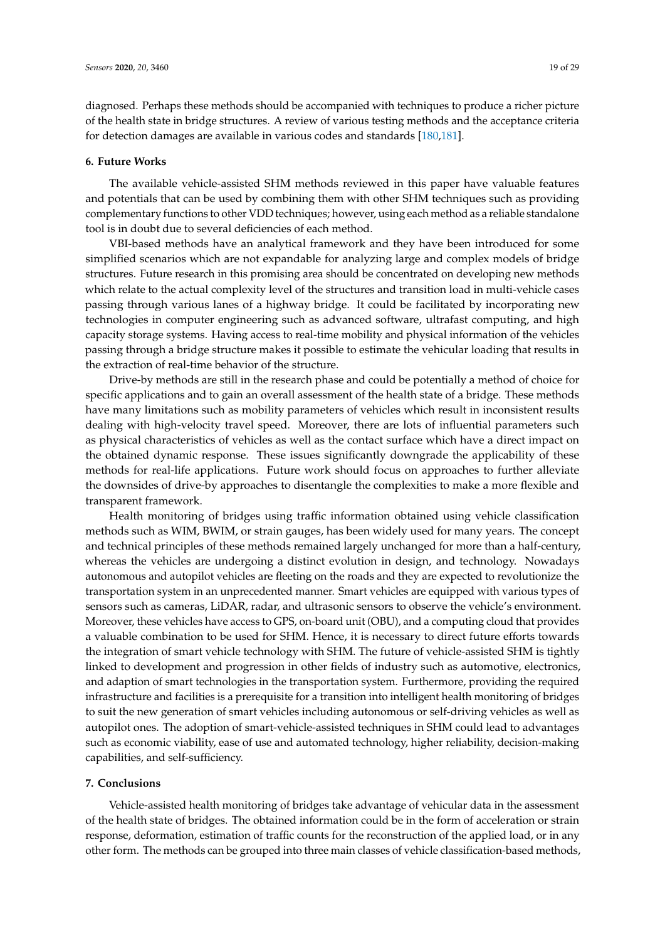diagnosed. Perhaps these methods should be accompanied with techniques to produce a richer picture of the health state in bridge structures. A review of various testing methods and the acceptance criteria for detection damages are available in various codes and standards [\[180,](#page-28-1)[181\]](#page-28-2).

# **6. Future Works**

The available vehicle-assisted SHM methods reviewed in this paper have valuable features and potentials that can be used by combining them with other SHM techniques such as providing complementary functions to other VDD techniques; however, using each method as a reliable standalone tool is in doubt due to several deficiencies of each method.

VBI-based methods have an analytical framework and they have been introduced for some simplified scenarios which are not expandable for analyzing large and complex models of bridge structures. Future research in this promising area should be concentrated on developing new methods which relate to the actual complexity level of the structures and transition load in multi-vehicle cases passing through various lanes of a highway bridge. It could be facilitated by incorporating new technologies in computer engineering such as advanced software, ultrafast computing, and high capacity storage systems. Having access to real-time mobility and physical information of the vehicles passing through a bridge structure makes it possible to estimate the vehicular loading that results in the extraction of real-time behavior of the structure.

Drive-by methods are still in the research phase and could be potentially a method of choice for specific applications and to gain an overall assessment of the health state of a bridge. These methods have many limitations such as mobility parameters of vehicles which result in inconsistent results dealing with high-velocity travel speed. Moreover, there are lots of influential parameters such as physical characteristics of vehicles as well as the contact surface which have a direct impact on the obtained dynamic response. These issues significantly downgrade the applicability of these methods for real-life applications. Future work should focus on approaches to further alleviate the downsides of drive-by approaches to disentangle the complexities to make a more flexible and transparent framework.

Health monitoring of bridges using traffic information obtained using vehicle classification methods such as WIM, BWIM, or strain gauges, has been widely used for many years. The concept and technical principles of these methods remained largely unchanged for more than a half-century, whereas the vehicles are undergoing a distinct evolution in design, and technology. Nowadays autonomous and autopilot vehicles are fleeting on the roads and they are expected to revolutionize the transportation system in an unprecedented manner. Smart vehicles are equipped with various types of sensors such as cameras, LiDAR, radar, and ultrasonic sensors to observe the vehicle's environment. Moreover, these vehicles have access to GPS, on-board unit (OBU), and a computing cloud that provides a valuable combination to be used for SHM. Hence, it is necessary to direct future efforts towards the integration of smart vehicle technology with SHM. The future of vehicle-assisted SHM is tightly linked to development and progression in other fields of industry such as automotive, electronics, and adaption of smart technologies in the transportation system. Furthermore, providing the required infrastructure and facilities is a prerequisite for a transition into intelligent health monitoring of bridges to suit the new generation of smart vehicles including autonomous or self-driving vehicles as well as autopilot ones. The adoption of smart-vehicle-assisted techniques in SHM could lead to advantages such as economic viability, ease of use and automated technology, higher reliability, decision-making capabilities, and self-sufficiency.

### **7. Conclusions**

Vehicle-assisted health monitoring of bridges take advantage of vehicular data in the assessment of the health state of bridges. The obtained information could be in the form of acceleration or strain response, deformation, estimation of traffic counts for the reconstruction of the applied load, or in any other form. The methods can be grouped into three main classes of vehicle classification-based methods,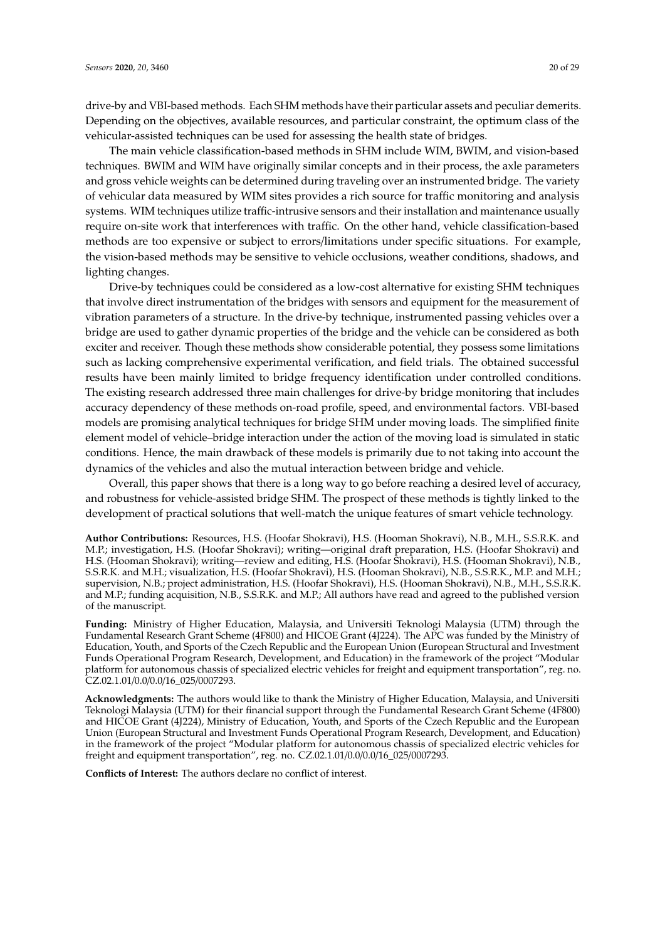drive-by and VBI-based methods. Each SHM methods have their particular assets and peculiar demerits. Depending on the objectives, available resources, and particular constraint, the optimum class of the vehicular-assisted techniques can be used for assessing the health state of bridges.

The main vehicle classification-based methods in SHM include WIM, BWIM, and vision-based techniques. BWIM and WIM have originally similar concepts and in their process, the axle parameters and gross vehicle weights can be determined during traveling over an instrumented bridge. The variety of vehicular data measured by WIM sites provides a rich source for traffic monitoring and analysis systems. WIM techniques utilize traffic-intrusive sensors and their installation and maintenance usually require on-site work that interferences with traffic. On the other hand, vehicle classification-based methods are too expensive or subject to errors/limitations under specific situations. For example, the vision-based methods may be sensitive to vehicle occlusions, weather conditions, shadows, and lighting changes.

Drive-by techniques could be considered as a low-cost alternative for existing SHM techniques that involve direct instrumentation of the bridges with sensors and equipment for the measurement of vibration parameters of a structure. In the drive-by technique, instrumented passing vehicles over a bridge are used to gather dynamic properties of the bridge and the vehicle can be considered as both exciter and receiver. Though these methods show considerable potential, they possess some limitations such as lacking comprehensive experimental verification, and field trials. The obtained successful results have been mainly limited to bridge frequency identification under controlled conditions. The existing research addressed three main challenges for drive-by bridge monitoring that includes accuracy dependency of these methods on-road profile, speed, and environmental factors. VBI-based models are promising analytical techniques for bridge SHM under moving loads. The simplified finite element model of vehicle–bridge interaction under the action of the moving load is simulated in static conditions. Hence, the main drawback of these models is primarily due to not taking into account the dynamics of the vehicles and also the mutual interaction between bridge and vehicle.

Overall, this paper shows that there is a long way to go before reaching a desired level of accuracy, and robustness for vehicle-assisted bridge SHM. The prospect of these methods is tightly linked to the development of practical solutions that well-match the unique features of smart vehicle technology.

**Author Contributions:** Resources, H.S. (Hoofar Shokravi), H.S. (Hooman Shokravi), N.B., M.H., S.S.R.K. and M.P.; investigation, H.S. (Hoofar Shokravi); writing—original draft preparation, H.S. (Hoofar Shokravi) and H.S. (Hooman Shokravi); writing—review and editing, H.S. (Hoofar Shokravi), H.S. (Hooman Shokravi), N.B., S.S.R.K. and M.H.; visualization, H.S. (Hoofar Shokravi), H.S. (Hooman Shokravi), N.B., S.S.R.K., M.P. and M.H.; supervision, N.B.; project administration, H.S. (Hoofar Shokravi), H.S. (Hooman Shokravi), N.B., M.H., S.S.R.K. and M.P.; funding acquisition, N.B., S.S.R.K. and M.P.; All authors have read and agreed to the published version of the manuscript.

**Funding:** Ministry of Higher Education, Malaysia, and Universiti Teknologi Malaysia (UTM) through the Fundamental Research Grant Scheme (4F800) and HICOE Grant (4J224). The APC was funded by the Ministry of Education, Youth, and Sports of the Czech Republic and the European Union (European Structural and Investment Funds Operational Program Research, Development, and Education) in the framework of the project "Modular platform for autonomous chassis of specialized electric vehicles for freight and equipment transportation", reg. no. CZ.02.1.01/0.0/0.0/16\_025/0007293.

**Acknowledgments:** The authors would like to thank the Ministry of Higher Education, Malaysia, and Universiti Teknologi Malaysia (UTM) for their financial support through the Fundamental Research Grant Scheme (4F800) and HICOE Grant (4J224), Ministry of Education, Youth, and Sports of the Czech Republic and the European Union (European Structural and Investment Funds Operational Program Research, Development, and Education) in the framework of the project "Modular platform for autonomous chassis of specialized electric vehicles for freight and equipment transportation", reg. no. CZ.02.1.01/0.0/0.0/16\_025/0007293.

**Conflicts of Interest:** The authors declare no conflict of interest.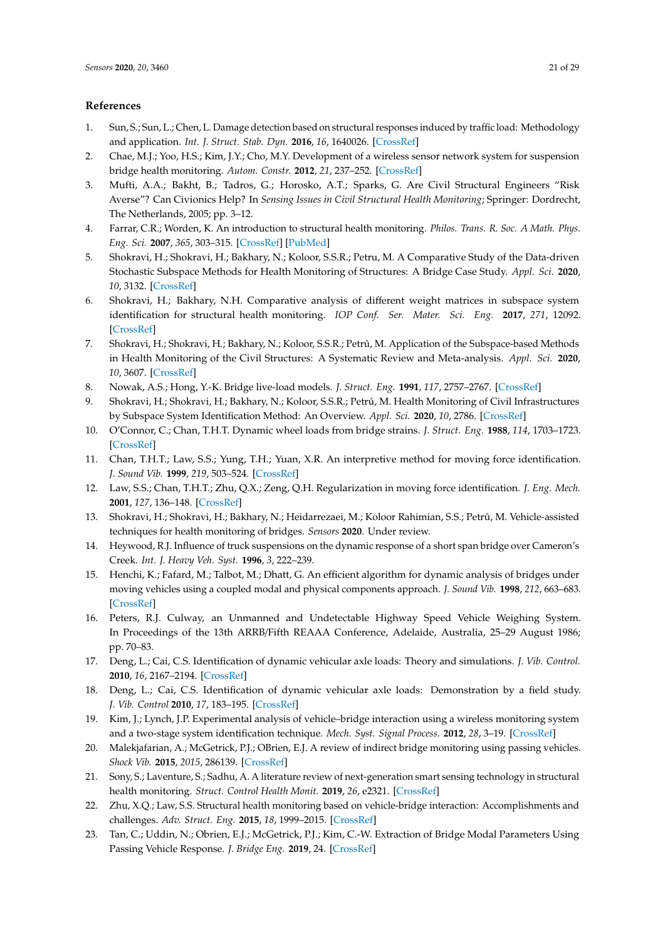# **References**

- <span id="page-20-0"></span>1. Sun, S.; Sun, L.; Chen, L. Damage detection based on structural responses induced by traffic load: Methodology and application. *Int. J. Struct. Stab. Dyn.* **2016**, *16*, 1640026. [\[CrossRef\]](http://dx.doi.org/10.1142/S0219455416400265)
- <span id="page-20-1"></span>2. Chae, M.J.; Yoo, H.S.; Kim, J.Y.; Cho, M.Y. Development of a wireless sensor network system for suspension bridge health monitoring. *Autom. Constr.* **2012**, *21*, 237–252. [\[CrossRef\]](http://dx.doi.org/10.1016/j.autcon.2011.06.008)
- <span id="page-20-2"></span>3. Mufti, A.A.; Bakht, B.; Tadros, G.; Horosko, A.T.; Sparks, G. Are Civil Structural Engineers "Risk Averse"? Can Civionics Help? In *Sensing Issues in Civil Structural Health Monitoring*; Springer: Dordrecht, The Netherlands, 2005; pp. 3–12.
- <span id="page-20-22"></span>4. Farrar, C.R.; Worden, K. An introduction to structural health monitoring. *Philos. Trans. R. Soc. A Math. Phys. Eng. Sci.* **2007**, *365*, 303–315. [\[CrossRef\]](http://dx.doi.org/10.1098/rsta.2006.1928) [\[PubMed\]](http://www.ncbi.nlm.nih.gov/pubmed/17255041)
- <span id="page-20-3"></span>5. Shokravi, H.; Shokravi, H.; Bakhary, N.; Koloor, S.S.R.; Petru, M. A Comparative Study of the Data-driven Stochastic Subspace Methods for Health Monitoring of Structures: A Bridge Case Study. *Appl. Sci.* **2020**, *10*, 3132. [\[CrossRef\]](http://dx.doi.org/10.3390/app10093132)
- <span id="page-20-4"></span>6. Shokravi, H.; Bakhary, N.H. Comparative analysis of different weight matrices in subspace system identification for structural health monitoring. *IOP Conf. Ser. Mater. Sci. Eng.* **2017**, *271*, 12092. [\[CrossRef\]](http://dx.doi.org/10.1088/1757-899X/271/1/012092)
- <span id="page-20-5"></span>7. Shokravi, H.; Shokravi, H.; Bakhary, N.; Koloor, S.S.R.; Petrů, M. Application of the Subspace-based Methods in Health Monitoring of the Civil Structures: A Systematic Review and Meta-analysis. *Appl. Sci.* **2020**, *10*, 3607. [\[CrossRef\]](http://dx.doi.org/10.3390/app10103607)
- <span id="page-20-6"></span>8. Nowak, A.S.; Hong, Y.-K. Bridge live-load models. *J. Struct. Eng.* **1991**, *117*, 2757–2767. [\[CrossRef\]](http://dx.doi.org/10.1061/(ASCE)0733-9445(1991)117:9(2757))
- <span id="page-20-7"></span>9. Shokravi, H.; Shokravi, H.; Bakhary, N.; Koloor, S.S.R.; Petrů, M. Health Monitoring of Civil Infrastructures by Subspace System Identification Method: An Overview. *Appl. Sci.* **2020**, *10*, 2786. [\[CrossRef\]](http://dx.doi.org/10.3390/app10082786)
- <span id="page-20-8"></span>10. O'Connor, C.; Chan, T.H.T. Dynamic wheel loads from bridge strains. *J. Struct. Eng.* **1988**, *114*, 1703–1723. [\[CrossRef\]](http://dx.doi.org/10.1061/(ASCE)0733-9445(1988)114:8(1703))
- <span id="page-20-9"></span>11. Chan, T.H.T.; Law, S.S.; Yung, T.H.; Yuan, X.R. An interpretive method for moving force identification. *J. Sound Vib.* **1999**, *219*, 503–524. [\[CrossRef\]](http://dx.doi.org/10.1006/jsvi.1998.1904)
- <span id="page-20-10"></span>12. Law, S.S.; Chan, T.H.T.; Zhu, Q.X.; Zeng, Q.H. Regularization in moving force identification. *J. Eng. Mech.* **2001**, *127*, 136–148. [\[CrossRef\]](http://dx.doi.org/10.1061/(ASCE)0733-9399(2001)127:2(136))
- <span id="page-20-11"></span>13. Shokravi, H.; Shokravi, H.; Bakhary, N.; Heidarrezaei, M.; Koloor Rahimian, S.S.; Petrů, M. Vehicle-assisted techniques for health monitoring of bridges. *Sensors* **2020**. Under review.
- <span id="page-20-12"></span>14. Heywood, R.J. Influence of truck suspensions on the dynamic response of a short span bridge over Cameron's Creek. *Int. J. Heavy Veh. Syst.* **1996**, *3*, 222–239.
- <span id="page-20-13"></span>15. Henchi, K.; Fafard, M.; Talbot, M.; Dhatt, G. An efficient algorithm for dynamic analysis of bridges under moving vehicles using a coupled modal and physical components approach. *J. Sound Vib.* **1998**, *212*, 663–683. [\[CrossRef\]](http://dx.doi.org/10.1006/jsvi.1997.1459)
- <span id="page-20-14"></span>16. Peters, R.J. Culway, an Unmanned and Undetectable Highway Speed Vehicle Weighing System. In Proceedings of the 13th ARRB/Fifth REAAA Conference, Adelaide, Australia, 25–29 August 1986; pp. 70–83.
- <span id="page-20-15"></span>17. Deng, L.; Cai, C.S. Identification of dynamic vehicular axle loads: Theory and simulations. *J. Vib. Control.* **2010**, *16*, 2167–2194. [\[CrossRef\]](http://dx.doi.org/10.1177/1077546309351221)
- <span id="page-20-16"></span>18. Deng, L.; Cai, C.S. Identification of dynamic vehicular axle loads: Demonstration by a field study. *J. Vib. Control* **2010**, *17*, 183–195. [\[CrossRef\]](http://dx.doi.org/10.1177/1077546309351222)
- <span id="page-20-17"></span>19. Kim, J.; Lynch, J.P. Experimental analysis of vehicle–bridge interaction using a wireless monitoring system and a two-stage system identification technique. *Mech. Syst. Signal Process.* **2012**, *28*, 3–19. [\[CrossRef\]](http://dx.doi.org/10.1016/j.ymssp.2011.12.008)
- <span id="page-20-18"></span>20. Malekjafarian, A.; McGetrick, P.J.; OBrien, E.J. A review of indirect bridge monitoring using passing vehicles. *Shock Vib.* **2015**, *2015*, 286139. [\[CrossRef\]](http://dx.doi.org/10.1155/2015/286139)
- <span id="page-20-19"></span>21. Sony, S.; Laventure, S.; Sadhu, A. A literature review of next-generation smart sensing technology in structural health monitoring. *Struct. Control Health Monit.* **2019**, *26*, e2321. [\[CrossRef\]](http://dx.doi.org/10.1002/stc.2321)
- <span id="page-20-20"></span>22. Zhu, X.Q.; Law, S.S. Structural health monitoring based on vehicle-bridge interaction: Accomplishments and challenges. *Adv. Struct. Eng.* **2015**, *18*, 1999–2015. [\[CrossRef\]](http://dx.doi.org/10.1260/1369-4332.18.12.1999)
- <span id="page-20-21"></span>23. Tan, C.; Uddin, N.; Obrien, E.J.; McGetrick, P.J.; Kim, C.-W. Extraction of Bridge Modal Parameters Using Passing Vehicle Response. *J. Bridge Eng.* **2019**, 24. [\[CrossRef\]](http://dx.doi.org/10.1061/(ASCE)BE.1943-5592.0001477)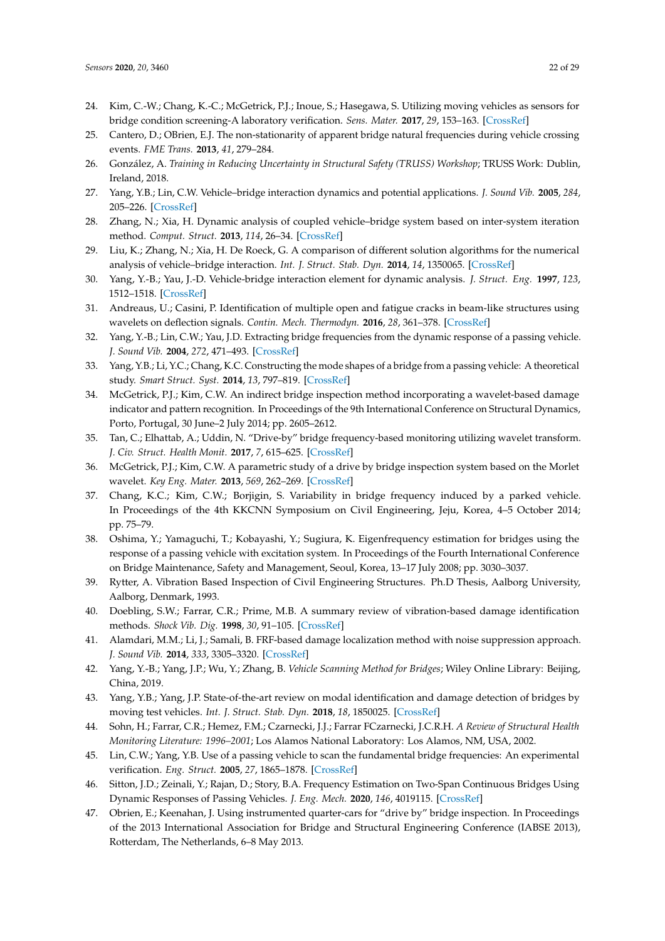- <span id="page-21-0"></span>24. Kim, C.-W.; Chang, K.-C.; McGetrick, P.J.; Inoue, S.; Hasegawa, S. Utilizing moving vehicles as sensors for bridge condition screening-A laboratory verification. *Sens. Mater.* **2017**, *29*, 153–163. [\[CrossRef\]](http://dx.doi.org/10.18494/SAM.2017.1433)
- <span id="page-21-1"></span>25. Cantero, D.; OBrien, E.J. The non-stationarity of apparent bridge natural frequencies during vehicle crossing events. *FME Trans.* **2013**, *41*, 279–284.
- <span id="page-21-2"></span>26. González, A. *Training in Reducing Uncertainty in Structural Safety (TRUSS) Workshop*; TRUSS Work: Dublin, Ireland, 2018.
- <span id="page-21-3"></span>27. Yang, Y.B.; Lin, C.W. Vehicle–bridge interaction dynamics and potential applications. *J. Sound Vib.* **2005**, *284*, 205–226. [\[CrossRef\]](http://dx.doi.org/10.1016/j.jsv.2004.06.032)
- <span id="page-21-4"></span>28. Zhang, N.; Xia, H. Dynamic analysis of coupled vehicle–bridge system based on inter-system iteration method. *Comput. Struct.* **2013**, *114*, 26–34. [\[CrossRef\]](http://dx.doi.org/10.1016/j.compstruc.2012.10.007)
- <span id="page-21-5"></span>29. Liu, K.; Zhang, N.; Xia, H. De Roeck, G. A comparison of different solution algorithms for the numerical analysis of vehicle–bridge interaction. *Int. J. Struct. Stab. Dyn.* **2014**, *14*, 1350065. [\[CrossRef\]](http://dx.doi.org/10.1142/S021945541350065X)
- <span id="page-21-6"></span>30. Yang, Y.-B.; Yau, J.-D. Vehicle-bridge interaction element for dynamic analysis. *J. Struct. Eng.* **1997**, *123*, 1512–1518. [\[CrossRef\]](http://dx.doi.org/10.1061/(ASCE)0733-9445(1997)123:11(1512))
- <span id="page-21-7"></span>31. Andreaus, U.; Casini, P. Identification of multiple open and fatigue cracks in beam-like structures using wavelets on deflection signals. *Contin. Mech. Thermodyn.* **2016**, *28*, 361–378. [\[CrossRef\]](http://dx.doi.org/10.1007/s00161-015-0435-4)
- <span id="page-21-8"></span>32. Yang, Y.-B.; Lin, C.W.; Yau, J.D. Extracting bridge frequencies from the dynamic response of a passing vehicle. *J. Sound Vib.* **2004**, *272*, 471–493. [\[CrossRef\]](http://dx.doi.org/10.1016/S0022-460X(03)00378-X)
- <span id="page-21-9"></span>33. Yang, Y.B.; Li, Y.C.; Chang, K.C. Constructing the mode shapes of a bridge from a passing vehicle: A theoretical study. *Smart Struct. Syst.* **2014**, *13*, 797–819. [\[CrossRef\]](http://dx.doi.org/10.12989/sss.2014.13.5.797)
- <span id="page-21-10"></span>34. McGetrick, P.J.; Kim, C.W. An indirect bridge inspection method incorporating a wavelet-based damage indicator and pattern recognition. In Proceedings of the 9th International Conference on Structural Dynamics, Porto, Portugal, 30 June–2 July 2014; pp. 2605–2612.
- <span id="page-21-11"></span>35. Tan, C.; Elhattab, A.; Uddin, N. "Drive-by" bridge frequency-based monitoring utilizing wavelet transform. *J. Civ. Struct. Health Monit.* **2017**, *7*, 615–625. [\[CrossRef\]](http://dx.doi.org/10.1007/s13349-017-0246-3)
- <span id="page-21-12"></span>36. McGetrick, P.J.; Kim, C.W. A parametric study of a drive by bridge inspection system based on the Morlet wavelet. *Key Eng. Mater.* **2013**, *569*, 262–269. [\[CrossRef\]](http://dx.doi.org/10.4028/www.scientific.net/KEM.569-570.262)
- <span id="page-21-13"></span>37. Chang, K.C.; Kim, C.W.; Borjigin, S. Variability in bridge frequency induced by a parked vehicle. In Proceedings of the 4th KKCNN Symposium on Civil Engineering, Jeju, Korea, 4–5 October 2014; pp. 75–79.
- <span id="page-21-14"></span>38. Oshima, Y.; Yamaguchi, T.; Kobayashi, Y.; Sugiura, K. Eigenfrequency estimation for bridges using the response of a passing vehicle with excitation system. In Proceedings of the Fourth International Conference on Bridge Maintenance, Safety and Management, Seoul, Korea, 13–17 July 2008; pp. 3030–3037.
- <span id="page-21-15"></span>39. Rytter, A. Vibration Based Inspection of Civil Engineering Structures. Ph.D Thesis, Aalborg University, Aalborg, Denmark, 1993.
- <span id="page-21-16"></span>40. Doebling, S.W.; Farrar, C.R.; Prime, M.B. A summary review of vibration-based damage identification methods. *Shock Vib. Dig.* **1998**, *30*, 91–105. [\[CrossRef\]](http://dx.doi.org/10.1177/058310249803000201)
- <span id="page-21-17"></span>41. Alamdari, M.M.; Li, J.; Samali, B. FRF-based damage localization method with noise suppression approach. *J. Sound Vib.* **2014**, *333*, 3305–3320. [\[CrossRef\]](http://dx.doi.org/10.1016/j.jsv.2014.02.035)
- <span id="page-21-18"></span>42. Yang, Y.-B.; Yang, J.P.; Wu, Y.; Zhang, B. *Vehicle Scanning Method for Bridges*; Wiley Online Library: Beijing, China, 2019.
- <span id="page-21-19"></span>43. Yang, Y.B.; Yang, J.P. State-of-the-art review on modal identification and damage detection of bridges by moving test vehicles. *Int. J. Struct. Stab. Dyn.* **2018**, *18*, 1850025. [\[CrossRef\]](http://dx.doi.org/10.1142/S0219455418500256)
- <span id="page-21-20"></span>44. Sohn, H.; Farrar, C.R.; Hemez, F.M.; Czarnecki, J.J.; Farrar FCzarnecki, J.C.R.H. *A Review of Structural Health Monitoring Literature: 1996–2001*; Los Alamos National Laboratory: Los Alamos, NM, USA, 2002.
- <span id="page-21-21"></span>45. Lin, C.W.; Yang, Y.B. Use of a passing vehicle to scan the fundamental bridge frequencies: An experimental verification. *Eng. Struct.* **2005**, *27*, 1865–1878. [\[CrossRef\]](http://dx.doi.org/10.1016/j.engstruct.2005.06.016)
- <span id="page-21-22"></span>46. Sitton, J.D.; Zeinali, Y.; Rajan, D.; Story, B.A. Frequency Estimation on Two-Span Continuous Bridges Using Dynamic Responses of Passing Vehicles. *J. Eng. Mech.* **2020**, *146*, 4019115. [\[CrossRef\]](http://dx.doi.org/10.1061/(ASCE)EM.1943-7889.0001698)
- <span id="page-21-23"></span>47. Obrien, E.; Keenahan, J. Using instrumented quarter-cars for "drive by" bridge inspection. In Proceedings of the 2013 International Association for Bridge and Structural Engineering Conference (IABSE 2013), Rotterdam, The Netherlands, 6–8 May 2013.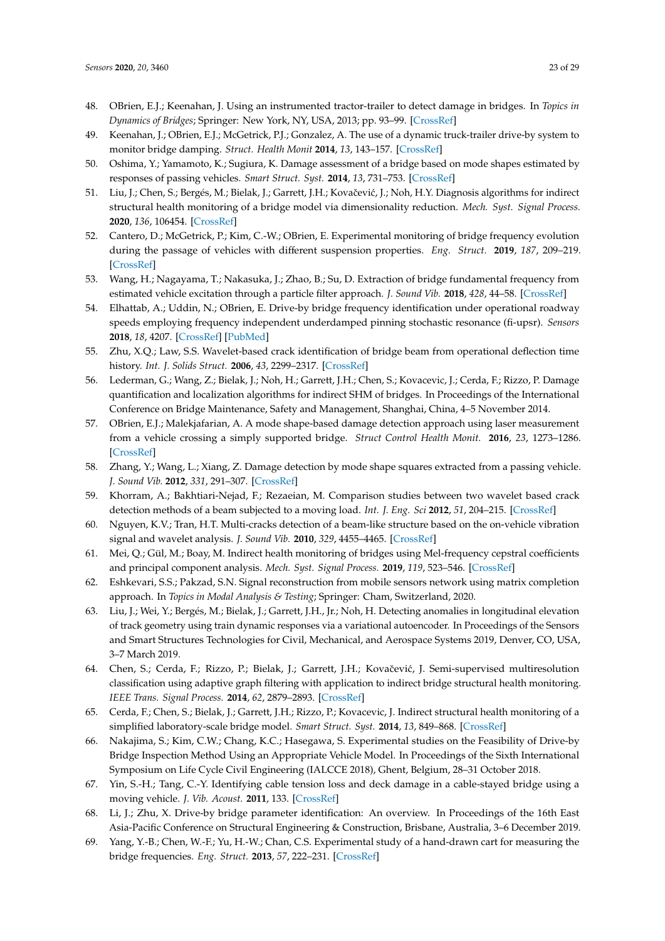- <span id="page-22-0"></span>48. OBrien, E.J.; Keenahan, J. Using an instrumented tractor-trailer to detect damage in bridges. In *Topics in Dynamics of Bridges*; Springer: New York, NY, USA, 2013; pp. 93–99. [\[CrossRef\]](http://dx.doi.org/10.1007/978-1-4614-6519-5_10)
- <span id="page-22-1"></span>49. Keenahan, J.; OBrien, E.J.; McGetrick, P.J.; Gonzalez, A. The use of a dynamic truck-trailer drive-by system to monitor bridge damping. *Struct. Health Monit* **2014**, *13*, 143–157. [\[CrossRef\]](http://dx.doi.org/10.1177/1475921713513974)
- <span id="page-22-2"></span>50. Oshima, Y.; Yamamoto, K.; Sugiura, K. Damage assessment of a bridge based on mode shapes estimated by responses of passing vehicles. *Smart Struct. Syst.* **2014**, *13*, 731–753. [\[CrossRef\]](http://dx.doi.org/10.12989/sss.2014.13.5.731)
- <span id="page-22-3"></span>51. Liu, J.; Chen, S.; Bergés, M.; Bielak, J.; Garrett, J.H.; Kovačević, J.; Noh, H.Y. Diagnosis algorithms for indirect structural health monitoring of a bridge model via dimensionality reduction. *Mech. Syst. Signal Process.* **2020**, *136*, 106454. [\[CrossRef\]](http://dx.doi.org/10.1016/j.ymssp.2019.106454)
- <span id="page-22-4"></span>52. Cantero, D.; McGetrick, P.; Kim, C.-W.; OBrien, E. Experimental monitoring of bridge frequency evolution during the passage of vehicles with different suspension properties. *Eng. Struct.* **2019**, *187*, 209–219. [\[CrossRef\]](http://dx.doi.org/10.1016/j.engstruct.2019.02.065)
- <span id="page-22-22"></span><span id="page-22-5"></span>53. Wang, H.; Nagayama, T.; Nakasuka, J.; Zhao, B.; Su, D. Extraction of bridge fundamental frequency from estimated vehicle excitation through a particle filter approach. *J. Sound Vib.* **2018**, *428*, 44–58. [\[CrossRef\]](http://dx.doi.org/10.1016/j.jsv.2018.04.030)
- <span id="page-22-6"></span>54. Elhattab, A.; Uddin, N.; OBrien, E. Drive-by bridge frequency identification under operational roadway speeds employing frequency independent underdamped pinning stochastic resonance (fi-upsr). *Sensors* **2018**, *18*, 4207. [\[CrossRef\]](http://dx.doi.org/10.3390/s18124207) [\[PubMed\]](http://www.ncbi.nlm.nih.gov/pubmed/30513669)
- <span id="page-22-7"></span>55. Zhu, X.Q.; Law, S.S. Wavelet-based crack identification of bridge beam from operational deflection time history. *Int. J. Solids Struct.* **2006**, *43*, 2299–2317. [\[CrossRef\]](http://dx.doi.org/10.1016/j.ijsolstr.2005.07.024)
- <span id="page-22-8"></span>56. Lederman, G.; Wang, Z.; Bielak, J.; Noh, H.; Garrett, J.H.; Chen, S.; Kovacevic, J.; Cerda, F.; Rizzo, P. Damage quantification and localization algorithms for indirect SHM of bridges. In Proceedings of the International Conference on Bridge Maintenance, Safety and Management, Shanghai, China, 4–5 November 2014.
- <span id="page-22-9"></span>57. OBrien, E.J.; Malekjafarian, A. A mode shape-based damage detection approach using laser measurement from a vehicle crossing a simply supported bridge. *Struct Control Health Monit.* **2016**, *23*, 1273–1286. [\[CrossRef\]](http://dx.doi.org/10.1002/stc.1841)
- <span id="page-22-10"></span>58. Zhang, Y.; Wang, L.; Xiang, Z. Damage detection by mode shape squares extracted from a passing vehicle. *J. Sound Vib.* **2012**, *331*, 291–307. [\[CrossRef\]](http://dx.doi.org/10.1016/j.jsv.2011.09.004)
- <span id="page-22-11"></span>59. Khorram, A.; Bakhtiari-Nejad, F.; Rezaeian, M. Comparison studies between two wavelet based crack detection methods of a beam subjected to a moving load. *Int. J. Eng. Sci* **2012**, *51*, 204–215. [\[CrossRef\]](http://dx.doi.org/10.1016/j.ijengsci.2011.10.001)
- <span id="page-22-12"></span>60. Nguyen, K.V.; Tran, H.T. Multi-cracks detection of a beam-like structure based on the on-vehicle vibration signal and wavelet analysis. *J. Sound Vib.* **2010**, *329*, 4455–4465. [\[CrossRef\]](http://dx.doi.org/10.1016/j.jsv.2010.05.005)
- <span id="page-22-13"></span>61. Mei, Q.; Gül, M.; Boay, M. Indirect health monitoring of bridges using Mel-frequency cepstral coefficients and principal component analysis. *Mech. Syst. Signal Process.* **2019**, *119*, 523–546. [\[CrossRef\]](http://dx.doi.org/10.1016/j.ymssp.2018.10.006)
- <span id="page-22-14"></span>62. Eshkevari, S.S.; Pakzad, S.N. Signal reconstruction from mobile sensors network using matrix completion approach. In *Topics in Modal Analysis & Testing*; Springer: Cham, Switzerland, 2020.
- <span id="page-22-15"></span>63. Liu, J.; Wei, Y.; Bergés, M.; Bielak, J.; Garrett, J.H., Jr.; Noh, H. Detecting anomalies in longitudinal elevation of track geometry using train dynamic responses via a variational autoencoder. In Proceedings of the Sensors and Smart Structures Technologies for Civil, Mechanical, and Aerospace Systems 2019, Denver, CO, USA, 3–7 March 2019.
- <span id="page-22-16"></span>64. Chen, S.; Cerda, F.; Rizzo, P.; Bielak, J.; Garrett, J.H.; Kovačević, J. Semi-supervised multiresolution classification using adaptive graph filtering with application to indirect bridge structural health monitoring. *IEEE Trans. Signal Process.* **2014**, *62*, 2879–2893. [\[CrossRef\]](http://dx.doi.org/10.1109/TSP.2014.2313528)
- <span id="page-22-17"></span>65. Cerda, F.; Chen, S.; Bielak, J.; Garrett, J.H.; Rizzo, P.; Kovacevic, J. Indirect structural health monitoring of a simplified laboratory-scale bridge model. *Smart Struct. Syst.* **2014**, *13*, 849–868. [\[CrossRef\]](http://dx.doi.org/10.12989/sss.2014.13.5.849)
- <span id="page-22-18"></span>66. Nakajima, S.; Kim, C.W.; Chang, K.C.; Hasegawa, S. Experimental studies on the Feasibility of Drive-by Bridge Inspection Method Using an Appropriate Vehicle Model. In Proceedings of the Sixth International Symposium on Life Cycle Civil Engineering (IALCCE 2018), Ghent, Belgium, 28–31 October 2018.
- <span id="page-22-19"></span>67. Yin, S.-H.; Tang, C.-Y. Identifying cable tension loss and deck damage in a cable-stayed bridge using a moving vehicle. *J. Vib. Acoust.* **2011**, 133. [\[CrossRef\]](http://dx.doi.org/10.1115/1.4002128)
- <span id="page-22-20"></span>68. Li, J.; Zhu, X. Drive-by bridge parameter identification: An overview. In Proceedings of the 16th East Asia-Pacific Conference on Structural Engineering & Construction, Brisbane, Australia, 3–6 December 2019.
- <span id="page-22-21"></span>69. Yang, Y.-B.; Chen, W.-F.; Yu, H.-W.; Chan, C.S. Experimental study of a hand-drawn cart for measuring the bridge frequencies. *Eng. Struct.* **2013**, *57*, 222–231. [\[CrossRef\]](http://dx.doi.org/10.1016/j.engstruct.2013.09.007)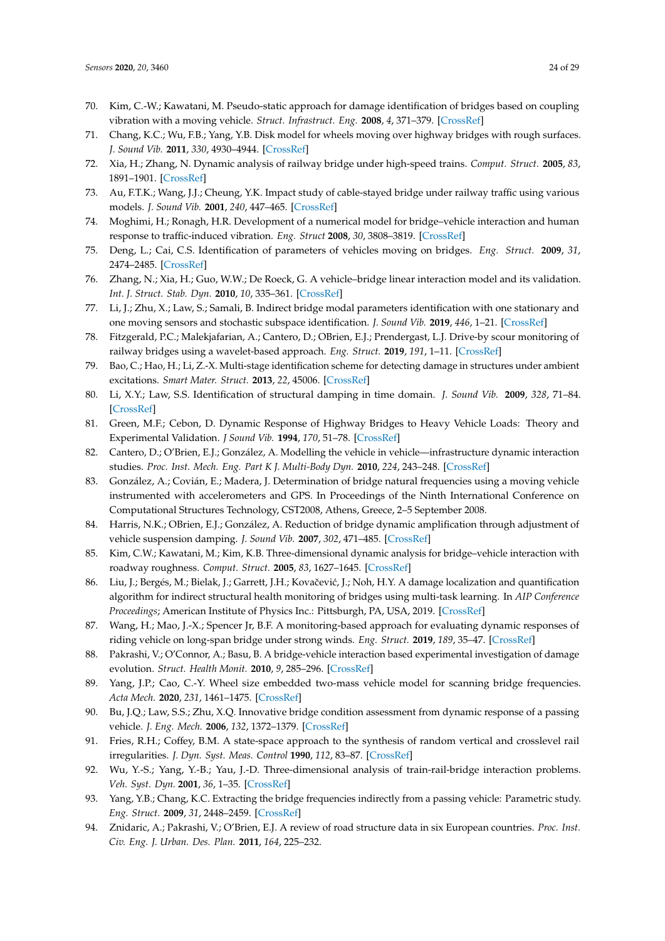- <span id="page-23-0"></span>70. Kim, C.-W.; Kawatani, M. Pseudo-static approach for damage identification of bridges based on coupling vibration with a moving vehicle. *Struct. Infrastruct. Eng.* **2008**, *4*, 371–379. [\[CrossRef\]](http://dx.doi.org/10.1080/15732470701270082)
- <span id="page-23-1"></span>71. Chang, K.C.; Wu, F.B.; Yang, Y.B. Disk model for wheels moving over highway bridges with rough surfaces. *J. Sound Vib.* **2011**, *330*, 4930–4944. [\[CrossRef\]](http://dx.doi.org/10.1016/j.jsv.2011.05.002)
- <span id="page-23-2"></span>72. Xia, H.; Zhang, N. Dynamic analysis of railway bridge under high-speed trains. *Comput. Struct.* **2005**, *83*, 1891–1901. [\[CrossRef\]](http://dx.doi.org/10.1016/j.compstruc.2005.02.014)
- <span id="page-23-3"></span>73. Au, F.T.K.; Wang, J.J.; Cheung, Y.K. Impact study of cable-stayed bridge under railway traffic using various models. *J. Sound Vib.* **2001**, *240*, 447–465. [\[CrossRef\]](http://dx.doi.org/10.1006/jsvi.2000.3236)
- <span id="page-23-4"></span>74. Moghimi, H.; Ronagh, H.R. Development of a numerical model for bridge–vehicle interaction and human response to traffic-induced vibration. *Eng. Struct* **2008**, *30*, 3808–3819. [\[CrossRef\]](http://dx.doi.org/10.1016/j.engstruct.2008.06.015)
- 75. Deng, L.; Cai, C.S. Identification of parameters of vehicles moving on bridges. *Eng. Struct.* **2009**, *31*, 2474–2485. [\[CrossRef\]](http://dx.doi.org/10.1016/j.engstruct.2009.06.005)
- <span id="page-23-5"></span>76. Zhang, N.; Xia, H.; Guo, W.W.; De Roeck, G. A vehicle–bridge linear interaction model and its validation. *Int. J. Struct. Stab. Dyn.* **2010**, *10*, 335–361. [\[CrossRef\]](http://dx.doi.org/10.1142/S0219455410003464)
- <span id="page-23-6"></span>77. Li, J.; Zhu, X.; Law, S.; Samali, B. Indirect bridge modal parameters identification with one stationary and one moving sensors and stochastic subspace identification. *J. Sound Vib.* **2019**, *446*, 1–21. [\[CrossRef\]](http://dx.doi.org/10.1016/j.jsv.2019.01.024)
- <span id="page-23-7"></span>78. Fitzgerald, P.C.; Malekjafarian, A.; Cantero, D.; OBrien, E.J.; Prendergast, L.J. Drive-by scour monitoring of railway bridges using a wavelet-based approach. *Eng. Struct.* **2019**, *191*, 1–11. [\[CrossRef\]](http://dx.doi.org/10.1016/j.engstruct.2019.04.046)
- <span id="page-23-8"></span>79. Bao, C.; Hao, H.; Li, Z.-X. Multi-stage identification scheme for detecting damage in structures under ambient excitations. *Smart Mater. Struct.* **2013**, *22*, 45006. [\[CrossRef\]](http://dx.doi.org/10.1088/0964-1726/22/4/045006)
- <span id="page-23-9"></span>80. Li, X.Y.; Law, S.S. Identification of structural damping in time domain. *J. Sound Vib.* **2009**, *328*, 71–84. [\[CrossRef\]](http://dx.doi.org/10.1016/j.jsv.2009.07.033)
- <span id="page-23-10"></span>81. Green, M.F.; Cebon, D. Dynamic Response of Highway Bridges to Heavy Vehicle Loads: Theory and Experimental Validation. *J Sound Vib.* **1994**, *170*, 51–78. [\[CrossRef\]](http://dx.doi.org/10.1006/jsvi.1994.1046)
- <span id="page-23-11"></span>82. Cantero, D.; O'Brien, E.J.; González, A. Modelling the vehicle in vehicle—infrastructure dynamic interaction studies. *Proc. Inst. Mech. Eng. Part K J. Multi-Body Dyn.* **2010**, *224*, 243–248. [\[CrossRef\]](http://dx.doi.org/10.1243/14644193JMBD228)
- 83. González, A.; Covián, E.; Madera, J. Determination of bridge natural frequencies using a moving vehicle instrumented with accelerometers and GPS. In Proceedings of the Ninth International Conference on Computational Structures Technology, CST2008, Athens, Greece, 2–5 September 2008.
- <span id="page-23-12"></span>84. Harris, N.K.; OBrien, E.J.; González, A. Reduction of bridge dynamic amplification through adjustment of vehicle suspension damping. *J. Sound Vib.* **2007**, *302*, 471–485. [\[CrossRef\]](http://dx.doi.org/10.1016/j.jsv.2006.11.020)
- <span id="page-23-13"></span>85. Kim, C.W.; Kawatani, M.; Kim, K.B. Three-dimensional dynamic analysis for bridge–vehicle interaction with roadway roughness. *Comput. Struct.* **2005**, *83*, 1627–1645. [\[CrossRef\]](http://dx.doi.org/10.1016/j.compstruc.2004.12.004)
- <span id="page-23-14"></span>86. Liu, J.; Bergés, M.; Bielak, J.; Garrett, J.H.; Kovačević, J.; Noh, H.Y. A damage localization and quantification algorithm for indirect structural health monitoring of bridges using multi-task learning. In *AIP Conference Proceedings*; American Institute of Physics Inc.: Pittsburgh, PA, USA, 2019. [\[CrossRef\]](http://dx.doi.org/10.1063/1.5099821)
- <span id="page-23-15"></span>87. Wang, H.; Mao, J.-X.; Spencer Jr, B.F. A monitoring-based approach for evaluating dynamic responses of riding vehicle on long-span bridge under strong winds. *Eng. Struct.* **2019**, *189*, 35–47. [\[CrossRef\]](http://dx.doi.org/10.1016/j.engstruct.2019.03.075)
- <span id="page-23-16"></span>88. Pakrashi, V.; O'Connor, A.; Basu, B. A bridge-vehicle interaction based experimental investigation of damage evolution. *Struct. Health Monit.* **2010**, *9*, 285–296. [\[CrossRef\]](http://dx.doi.org/10.1177/1475921709352147)
- <span id="page-23-17"></span>89. Yang, J.P.; Cao, C.-Y. Wheel size embedded two-mass vehicle model for scanning bridge frequencies. *Acta Mech.* **2020**, *231*, 1461–1475. [\[CrossRef\]](http://dx.doi.org/10.1007/s00707-019-02595-5)
- <span id="page-23-18"></span>90. Bu, J.Q.; Law, S.S.; Zhu, X.Q. Innovative bridge condition assessment from dynamic response of a passing vehicle. *J. Eng. Mech.* **2006**, *132*, 1372–1379. [\[CrossRef\]](http://dx.doi.org/10.1061/(ASCE)0733-9399(2006)132:12(1372))
- <span id="page-23-19"></span>91. Fries, R.H.; Coffey, B.M. A state-space approach to the synthesis of random vertical and crosslevel rail irregularities. *J. Dyn. Syst. Meas. Control* **1990**, *112*, 83–87. [\[CrossRef\]](http://dx.doi.org/10.1115/1.2894143)
- <span id="page-23-20"></span>92. Wu, Y.-S.; Yang, Y.-B.; Yau, J.-D. Three-dimensional analysis of train-rail-bridge interaction problems. *Veh. Syst. Dyn.* **2001**, *36*, 1–35. [\[CrossRef\]](http://dx.doi.org/10.1076/vesd.36.1.1.3567)
- <span id="page-23-21"></span>93. Yang, Y.B.; Chang, K.C. Extracting the bridge frequencies indirectly from a passing vehicle: Parametric study. *Eng. Struct.* **2009**, *31*, 2448–2459. [\[CrossRef\]](http://dx.doi.org/10.1016/j.engstruct.2009.06.001)
- <span id="page-23-22"></span>94. Znidaric, A.; Pakrashi, V.; O'Brien, E.J. A review of road structure data in six European countries. *Proc. Inst. Civ. Eng. J. Urban. Des. Plan.* **2011**, *164*, 225–232.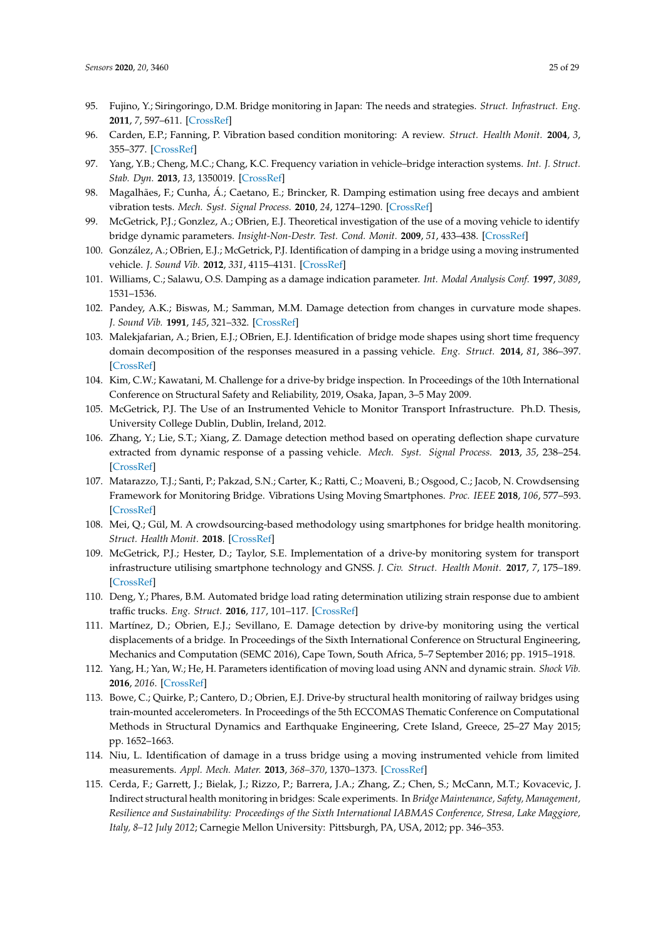- 95. Fujino, Y.; Siringoringo, D.M. Bridge monitoring in Japan: The needs and strategies. *Struct. Infrastruct. Eng.* **2011**, *7*, 597–611. [\[CrossRef\]](http://dx.doi.org/10.1080/15732479.2010.498282)
- <span id="page-24-0"></span>96. Carden, E.P.; Fanning, P. Vibration based condition monitoring: A review. *Struct. Health Monit.* **2004**, *3*, 355–377. [\[CrossRef\]](http://dx.doi.org/10.1177/1475921704047500)
- <span id="page-24-1"></span>97. Yang, Y.B.; Cheng, M.C.; Chang, K.C. Frequency variation in vehicle–bridge interaction systems. *Int. J. Struct. Stab. Dyn.* **2013**, *13*, 1350019. [\[CrossRef\]](http://dx.doi.org/10.1142/S0219455413500193)
- <span id="page-24-2"></span>98. Magalhães, F.; Cunha, Á.; Caetano, E.; Brincker, R. Damping estimation using free decays and ambient vibration tests. *Mech. Syst. Signal Process.* **2010**, *24*, 1274–1290. [\[CrossRef\]](http://dx.doi.org/10.1016/j.ymssp.2009.02.011)
- <span id="page-24-3"></span>99. McGetrick, P.J.; Gonzlez, A.; OBrien, E.J. Theoretical investigation of the use of a moving vehicle to identify bridge dynamic parameters. *Insight-Non-Destr. Test. Cond. Monit.* **2009**, *51*, 433–438. [\[CrossRef\]](http://dx.doi.org/10.1784/insi.2009.51.8.433)
- <span id="page-24-4"></span>100. González, A.; OBrien, E.J.; McGetrick, P.J. Identification of damping in a bridge using a moving instrumented vehicle. *J. Sound Vib.* **2012**, *331*, 4115–4131. [\[CrossRef\]](http://dx.doi.org/10.1016/j.jsv.2012.04.019)
- <span id="page-24-5"></span>101. Williams, C.; Salawu, O.S. Damping as a damage indication parameter. *Int. Modal Analysis Conf.* **1997**, *3089*, 1531–1536.
- <span id="page-24-6"></span>102. Pandey, A.K.; Biswas, M.; Samman, M.M. Damage detection from changes in curvature mode shapes. *J. Sound Vib.* **1991**, *145*, 321–332. [\[CrossRef\]](http://dx.doi.org/10.1016/0022-460X(91)90595-B)
- <span id="page-24-7"></span>103. Malekjafarian, A.; Brien, E.J.; OBrien, E.J. Identification of bridge mode shapes using short time frequency domain decomposition of the responses measured in a passing vehicle. *Eng. Struct.* **2014**, *81*, 386–397. [\[CrossRef\]](http://dx.doi.org/10.1016/j.engstruct.2014.10.007)
- <span id="page-24-8"></span>104. Kim, C.W.; Kawatani, M. Challenge for a drive-by bridge inspection. In Proceedings of the 10th International Conference on Structural Safety and Reliability, 2019, Osaka, Japan, 3–5 May 2009.
- <span id="page-24-9"></span>105. McGetrick, P.J. The Use of an Instrumented Vehicle to Monitor Transport Infrastructure. Ph.D. Thesis, University College Dublin, Dublin, Ireland, 2012.
- <span id="page-24-10"></span>106. Zhang, Y.; Lie, S.T.; Xiang, Z. Damage detection method based on operating deflection shape curvature extracted from dynamic response of a passing vehicle. *Mech. Syst. Signal Process.* **2013**, *35*, 238–254. [\[CrossRef\]](http://dx.doi.org/10.1016/j.ymssp.2012.10.002)
- <span id="page-24-11"></span>107. Matarazzo, T.J.; Santi, P.; Pakzad, S.N.; Carter, K.; Ratti, C.; Moaveni, B.; Osgood, C.; Jacob, N. Crowdsensing Framework for Monitoring Bridge. Vibrations Using Moving Smartphones. *Proc. IEEE* **2018**, *106*, 577–593. [\[CrossRef\]](http://dx.doi.org/10.1109/JPROC.2018.2808759)
- <span id="page-24-12"></span>108. Mei, Q.; Gül, M. A crowdsourcing-based methodology using smartphones for bridge health monitoring. *Struct. Health Monit.* **2018**. [\[CrossRef\]](http://dx.doi.org/10.1177/1475921718815457)
- <span id="page-24-13"></span>109. McGetrick, P.J.; Hester, D.; Taylor, S.E. Implementation of a drive-by monitoring system for transport infrastructure utilising smartphone technology and GNSS. *J. Civ. Struct. Health Monit.* **2017**, *7*, 175–189. [\[CrossRef\]](http://dx.doi.org/10.1007/s13349-017-0218-7)
- <span id="page-24-14"></span>110. Deng, Y.; Phares, B.M. Automated bridge load rating determination utilizing strain response due to ambient traffic trucks. *Eng. Struct.* **2016**, *117*, 101–117. [\[CrossRef\]](http://dx.doi.org/10.1016/j.engstruct.2016.03.004)
- <span id="page-24-15"></span>111. Martínez, D.; Obrien, E.J.; Sevillano, E. Damage detection by drive-by monitoring using the vertical displacements of a bridge. In Proceedings of the Sixth International Conference on Structural Engineering, Mechanics and Computation (SEMC 2016), Cape Town, South Africa, 5–7 September 2016; pp. 1915–1918.
- <span id="page-24-16"></span>112. Yang, H.; Yan, W.; He, H. Parameters identification of moving load using ANN and dynamic strain. *Shock Vib.* **2016**, *2016*. [\[CrossRef\]](http://dx.doi.org/10.1155/2016/8249851)
- <span id="page-24-17"></span>113. Bowe, C.; Quirke, P.; Cantero, D.; Obrien, E.J. Drive-by structural health monitoring of railway bridges using train-mounted accelerometers. In Proceedings of the 5th ECCOMAS Thematic Conference on Computational Methods in Structural Dynamics and Earthquake Engineering, Crete Island, Greece, 25–27 May 2015; pp. 1652–1663.
- <span id="page-24-18"></span>114. Niu, L. Identification of damage in a truss bridge using a moving instrumented vehicle from limited measurements. *Appl. Mech. Mater.* **2013**, *368–370*, 1370–1373. [\[CrossRef\]](http://dx.doi.org/10.4028/www.scientific.net/AMM.368-370.1370)
- <span id="page-24-19"></span>115. Cerda, F.; Garrett, J.; Bielak, J.; Rizzo, P.; Barrera, J.A.; Zhang, Z.; Chen, S.; McCann, M.T.; Kovacevic, J. Indirect structural health monitoring in bridges: Scale experiments. In *Bridge Maintenance, Safety, Management, Resilience and Sustainability: Proceedings of the Sixth International IABMAS Conference, Stresa, Lake Maggiore, Italy, 8–12 July 2012*; Carnegie Mellon University: Pittsburgh, PA, USA, 2012; pp. 346–353.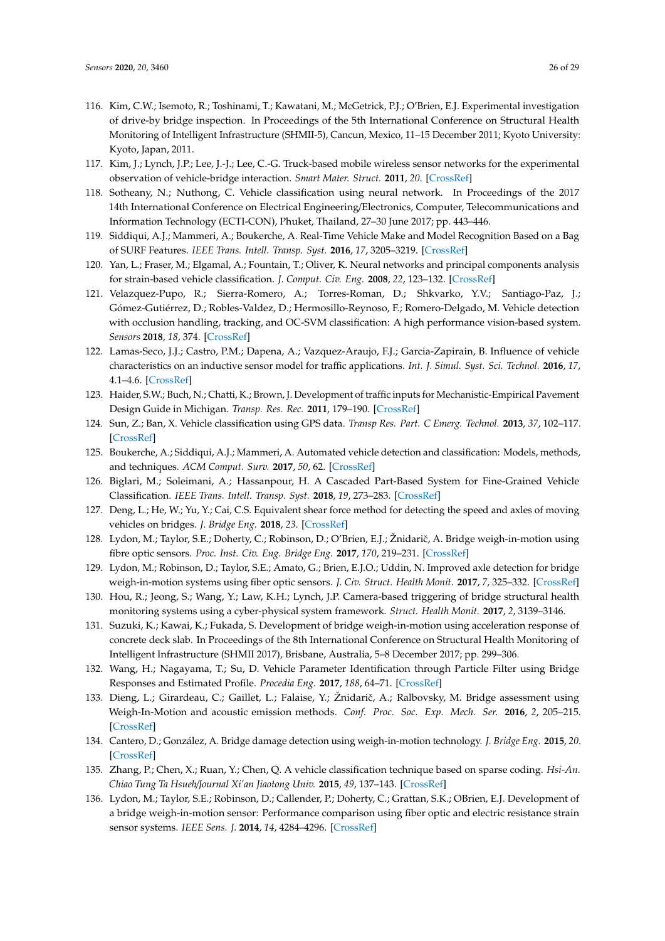- <span id="page-25-0"></span>116. Kim, C.W.; Isemoto, R.; Toshinami, T.; Kawatani, M.; McGetrick, P.J.; O'Brien, E.J. Experimental investigation of drive-by bridge inspection. In Proceedings of the 5th International Conference on Structural Health Monitoring of Intelligent Infrastructure (SHMII-5), Cancun, Mexico, 11–15 December 2011; Kyoto University: Kyoto, Japan, 2011.
- <span id="page-25-1"></span>117. Kim, J.; Lynch, J.P.; Lee, J.-J.; Lee, C.-G. Truck-based mobile wireless sensor networks for the experimental observation of vehicle-bridge interaction. *Smart Mater. Struct.* **2011**, *20*. [\[CrossRef\]](http://dx.doi.org/10.1088/0964-1726/20/6/065009)
- <span id="page-25-2"></span>118. Sotheany, N.; Nuthong, C. Vehicle classification using neural network. In Proceedings of the 2017 14th International Conference on Electrical Engineering/Electronics, Computer, Telecommunications and Information Technology (ECTI-CON), Phuket, Thailand, 27–30 June 2017; pp. 443–446.
- <span id="page-25-20"></span>119. Siddiqui, A.J.; Mammeri, A.; Boukerche, A. Real-Time Vehicle Make and Model Recognition Based on a Bag of SURF Features. *IEEE Trans. Intell. Transp. Syst.* **2016**, *17*, 3205–3219. [\[CrossRef\]](http://dx.doi.org/10.1109/TITS.2016.2545640)
- <span id="page-25-21"></span><span id="page-25-3"></span>120. Yan, L.; Fraser, M.; Elgamal, A.; Fountain, T.; Oliver, K. Neural networks and principal components analysis for strain-based vehicle classification. *J. Comput. Civ. Eng.* **2008**, *22*, 123–132. [\[CrossRef\]](http://dx.doi.org/10.1061/(ASCE)0887-3801(2008)22:2(123))
- <span id="page-25-4"></span>121. Velazquez-Pupo, R.; Sierra-Romero, A.; Torres-Roman, D.; Shkvarko, Y.V.; Santiago-Paz, J.; Gómez-Gutiérrez, D.; Robles-Valdez, D.; Hermosillo-Reynoso, F.; Romero-Delgado, M. Vehicle detection with occlusion handling, tracking, and OC-SVM classification: A high performance vision-based system. *Sensors* **2018**, *18*, 374. [\[CrossRef\]](http://dx.doi.org/10.3390/s18020374)
- <span id="page-25-5"></span>122. Lamas-Seco, J.J.; Castro, P.M.; Dapena, A.; Vazquez-Araujo, F.J.; Garcia-Zapirain, B. Influence of vehicle characteristics on an inductive sensor model for traffic applications. *Int. J. Simul. Syst. Sci. Technol.* **2016**, *17*, 4.1–4.6. [\[CrossRef\]](http://dx.doi.org/10.5013/IJSSST.a.17.33.04)
- <span id="page-25-6"></span>123. Haider, S.W.; Buch, N.; Chatti, K.; Brown, J. Development of traffic inputs for Mechanistic-Empirical Pavement Design Guide in Michigan. *Transp. Res. Rec.* **2011**, 179–190. [\[CrossRef\]](http://dx.doi.org/10.3141/2256-21)
- <span id="page-25-7"></span>124. Sun, Z.; Ban, X. Vehicle classification using GPS data. *Transp Res. Part. C Emerg. Technol.* **2013**, *37*, 102–117. [\[CrossRef\]](http://dx.doi.org/10.1016/j.trc.2013.09.015)
- <span id="page-25-22"></span><span id="page-25-8"></span>125. Boukerche, A.; Siddiqui, A.J.; Mammeri, A. Automated vehicle detection and classification: Models, methods, and techniques. *ACM Comput. Surv.* **2017**, *50*, 62. [\[CrossRef\]](http://dx.doi.org/10.1145/3107614)
- <span id="page-25-9"></span>126. Biglari, M.; Soleimani, A.; Hassanpour, H. A Cascaded Part-Based System for Fine-Grained Vehicle Classification. *IEEE Trans. Intell. Transp. Syst.* **2018**, *19*, 273–283. [\[CrossRef\]](http://dx.doi.org/10.1109/TITS.2017.2749961)
- <span id="page-25-10"></span>127. Deng, L.; He, W.; Yu, Y.; Cai, C.S. Equivalent shear force method for detecting the speed and axles of moving vehicles on bridges. *J. Bridge Eng.* **2018**, *23*. [\[CrossRef\]](http://dx.doi.org/10.1061/(ASCE)BE.1943-5592.0001278)
- <span id="page-25-11"></span>128. Lydon, M.; Taylor, S.E.; Doherty, C.; Robinson, D.; O'Brien, E.J.; Žnidarič, A. Bridge weigh-in-motion using fibre optic sensors. *Proc. Inst. Civ. Eng. Bridge Eng.* **2017**, *170*, 219–231. [\[CrossRef\]](http://dx.doi.org/10.1680/jbren.15.00033)
- <span id="page-25-12"></span>129. Lydon, M.; Robinson, D.; Taylor, S.E.; Amato, G.; Brien, E.J.O.; Uddin, N. Improved axle detection for bridge weigh-in-motion systems using fiber optic sensors. *J. Civ. Struct. Health Monit.* **2017**, *7*, 325–332. [\[CrossRef\]](http://dx.doi.org/10.1007/s13349-017-0229-4)
- <span id="page-25-13"></span>130. Hou, R.; Jeong, S.; Wang, Y.; Law, K.H.; Lynch, J.P. Camera-based triggering of bridge structural health monitoring systems using a cyber-physical system framework. *Struct. Health Monit.* **2017**, *2*, 3139–3146.
- <span id="page-25-14"></span>131. Suzuki, K.; Kawai, K.; Fukada, S. Development of bridge weigh-in-motion using acceleration response of concrete deck slab. In Proceedings of the 8th International Conference on Structural Health Monitoring of Intelligent Infrastructure (SHMII 2017), Brisbane, Australia, 5–8 December 2017; pp. 299–306.
- <span id="page-25-15"></span>132. Wang, H.; Nagayama, T.; Su, D. Vehicle Parameter Identification through Particle Filter using Bridge Responses and Estimated Profile. *Procedia Eng.* **2017**, *188*, 64–71. [\[CrossRef\]](http://dx.doi.org/10.1016/j.proeng.2017.04.458)
- <span id="page-25-16"></span>133. Dieng, L.; Girardeau, C.; Gaillet, L.; Falaise, Y.; Žnidarič, A.; Ralbovsky, M. Bridge assessment using Weigh-In-Motion and acoustic emission methods. *Conf. Proc. Soc. Exp. Mech. Ser.* **2016**, *2*, 205–215. [\[CrossRef\]](http://dx.doi.org/10.1007/978-3-319-29751-4_21)
- <span id="page-25-17"></span>134. Cantero, D.; González, A. Bridge damage detection using weigh-in-motion technology. *J. Bridge Eng.* **2015**, *20*. [\[CrossRef\]](http://dx.doi.org/10.1061/(ASCE)BE.1943-5592.0000674)
- <span id="page-25-18"></span>135. Zhang, P.; Chen, X.; Ruan, Y.; Chen, Q. A vehicle classification technique based on sparse coding. *Hsi-An. Chiao Tung Ta Hsueh*/*Journal Xi'an Jiaotong Univ.* **2015**, *49*, 137–143. [\[CrossRef\]](http://dx.doi.org/10.7652/xjtuxb201512022)
- <span id="page-25-19"></span>136. Lydon, M.; Taylor, S.E.; Robinson, D.; Callender, P.; Doherty, C.; Grattan, S.K.; OBrien, E.J. Development of a bridge weigh-in-motion sensor: Performance comparison using fiber optic and electric resistance strain sensor systems. *IEEE Sens. J.* **2014**, *14*, 4284–4296. [\[CrossRef\]](http://dx.doi.org/10.1109/JSEN.2014.2332874)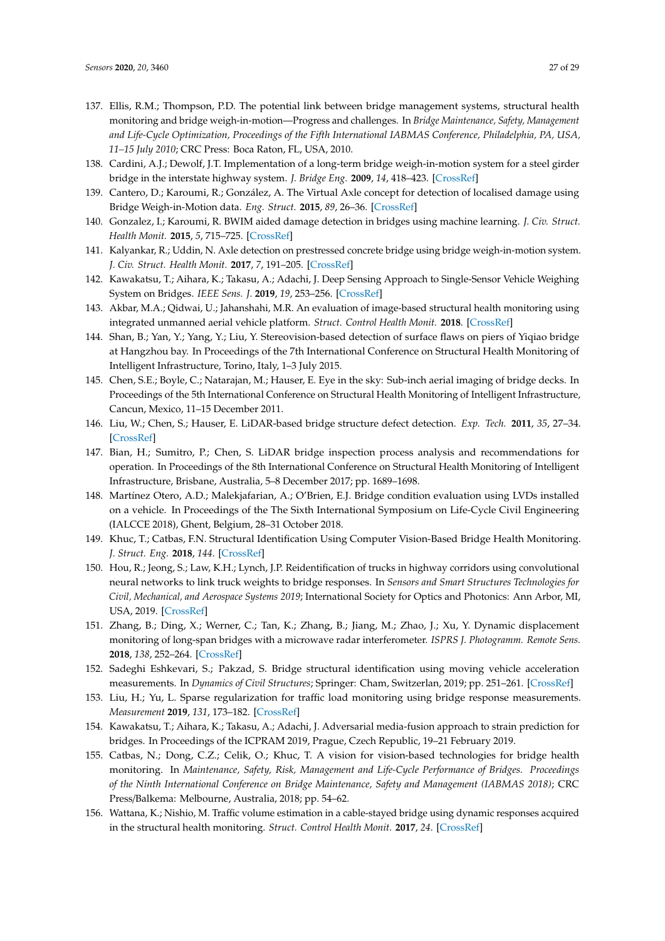- <span id="page-26-26"></span><span id="page-26-25"></span><span id="page-26-24"></span><span id="page-26-23"></span><span id="page-26-16"></span><span id="page-26-0"></span>137. Ellis, R.M.; Thompson, P.D. The potential link between bridge management systems, structural health monitoring and bridge weigh-in-motion—Progress and challenges. In *Bridge Maintenance, Safety, Management and Life-Cycle Optimization, Proceedings of the Fifth International IABMAS Conference, Philadelphia, PA, USA, 11–15 July 2010*; CRC Press: Boca Raton, FL, USA, 2010.
- <span id="page-26-1"></span>138. Cardini, A.J.; Dewolf, J.T. Implementation of a long-term bridge weigh-in-motion system for a steel girder bridge in the interstate highway system. *J. Bridge Eng.* **2009**, *14*, 418–423. [\[CrossRef\]](http://dx.doi.org/10.1061/(ASCE)1084-0702(2009)14:6(418))
- <span id="page-26-2"></span>139. Cantero, D.; Karoumi, R.; González, A. The Virtual Axle concept for detection of localised damage using Bridge Weigh-in-Motion data. *Eng. Struct.* **2015**, *89*, 26–36. [\[CrossRef\]](http://dx.doi.org/10.1016/j.engstruct.2015.02.001)
- <span id="page-26-3"></span>140. Gonzalez, I.; Karoumi, R. BWIM aided damage detection in bridges using machine learning. *J. Civ. Struct. Health Monit.* **2015**, *5*, 715–725. [\[CrossRef\]](http://dx.doi.org/10.1007/s13349-015-0137-4)
- <span id="page-26-21"></span><span id="page-26-4"></span>141. Kalyankar, R.; Uddin, N. Axle detection on prestressed concrete bridge using bridge weigh-in-motion system. *J. Civ. Struct. Health Monit.* **2017**, *7*, 191–205. [\[CrossRef\]](http://dx.doi.org/10.1007/s13349-017-0210-2)
- <span id="page-26-15"></span><span id="page-26-5"></span>142. Kawakatsu, T.; Aihara, K.; Takasu, A.; Adachi, J. Deep Sensing Approach to Single-Sensor Vehicle Weighing System on Bridges. *IEEE Sens. J.* **2019**, *19*, 253–256. [\[CrossRef\]](http://dx.doi.org/10.1109/JSEN.2018.2872839)
- <span id="page-26-6"></span>143. Akbar, M.A.; Qidwai, U.; Jahanshahi, M.R. An evaluation of image-based structural health monitoring using integrated unmanned aerial vehicle platform. *Struct. Control Health Monit.* **2018**. [\[CrossRef\]](http://dx.doi.org/10.1002/stc.2276)
- <span id="page-26-20"></span><span id="page-26-7"></span>144. Shan, B.; Yan, Y.; Yang, Y.; Liu, Y. Stereovision-based detection of surface flaws on piers of Yiqiao bridge at Hangzhou bay. In Proceedings of the 7th International Conference on Structural Health Monitoring of Intelligent Infrastructure, Torino, Italy, 1–3 July 2015.
- <span id="page-26-17"></span><span id="page-26-8"></span>145. Chen, S.E.; Boyle, C.; Natarajan, M.; Hauser, E. Eye in the sky: Sub-inch aerial imaging of bridge decks. In Proceedings of the 5th International Conference on Structural Health Monitoring of Intelligent Infrastructure, Cancun, Mexico, 11–15 December 2011.
- <span id="page-26-18"></span><span id="page-26-9"></span>146. Liu, W.; Chen, S.; Hauser, E. LiDAR-based bridge structure defect detection. *Exp. Tech.* **2011**, *35*, 27–34. [\[CrossRef\]](http://dx.doi.org/10.1111/j.1747-1567.2010.00644.x)
- <span id="page-26-22"></span><span id="page-26-19"></span><span id="page-26-10"></span>147. Bian, H.; Sumitro, P.; Chen, S. LiDAR bridge inspection process analysis and recommendations for operation. In Proceedings of the 8th International Conference on Structural Health Monitoring of Intelligent Infrastructure, Brisbane, Australia, 5–8 December 2017; pp. 1689–1698.
- <span id="page-26-11"></span>148. Martínez Otero, A.D.; Malekjafarian, A.; O'Brien, E.J. Bridge condition evaluation using LVDs installed on a vehicle. In Proceedings of the The Sixth International Symposium on Life-Cycle Civil Engineering (IALCCE 2018), Ghent, Belgium, 28–31 October 2018.
- <span id="page-26-12"></span>149. Khuc, T.; Catbas, F.N. Structural Identification Using Computer Vision-Based Bridge Health Monitoring. *J. Struct. Eng.* **2018**, *144*. [\[CrossRef\]](http://dx.doi.org/10.1061/(ASCE)ST.1943-541X.0001925)
- <span id="page-26-13"></span>150. Hou, R.; Jeong, S.; Law, K.H.; Lynch, J.P. Reidentification of trucks in highway corridors using convolutional neural networks to link truck weights to bridge responses. In *Sensors and Smart Structures Technologies for Civil, Mechanical, and Aerospace Systems 2019*; International Society for Optics and Photonics: Ann Arbor, MI, USA, 2019. [\[CrossRef\]](http://dx.doi.org/10.1117/12.2515617)
- <span id="page-26-14"></span>151. Zhang, B.; Ding, X.; Werner, C.; Tan, K.; Zhang, B.; Jiang, M.; Zhao, J.; Xu, Y. Dynamic displacement monitoring of long-span bridges with a microwave radar interferometer. *ISPRS J. Photogramm. Remote Sens.* **2018**, *138*, 252–264. [\[CrossRef\]](http://dx.doi.org/10.1016/j.isprsjprs.2018.02.020)
- 152. Sadeghi Eshkevari, S.; Pakzad, S. Bridge structural identification using moving vehicle acceleration measurements. In *Dynamics of Civil Structures*; Springer: Cham, Switzerlan, 2019; pp. 251–261. [\[CrossRef\]](http://dx.doi.org/10.1007/978-3-319-74421-6_34)
- 153. Liu, H.; Yu, L. Sparse regularization for traffic load monitoring using bridge response measurements. *Measurement* **2019**, *131*, 173–182. [\[CrossRef\]](http://dx.doi.org/10.1016/j.measurement.2018.07.044)
- 154. Kawakatsu, T.; Aihara, K.; Takasu, A.; Adachi, J. Adversarial media-fusion approach to strain prediction for bridges. In Proceedings of the ICPRAM 2019, Prague, Czech Republic, 19–21 February 2019.
- 155. Catbas, N.; Dong, C.Z.; Celik, O.; Khuc, T. A vision for vision-based technologies for bridge health monitoring. In *Maintenance, Safety, Risk, Management and Life-Cycle Performance of Bridges. Proceedings of the Ninth International Conference on Bridge Maintenance, Safety and Management (IABMAS 2018)*; CRC Press/Balkema: Melbourne, Australia, 2018; pp. 54–62.
- 156. Wattana, K.; Nishio, M. Traffic volume estimation in a cable-stayed bridge using dynamic responses acquired in the structural health monitoring. *Struct. Control Health Monit.* **2017**, *24*. [\[CrossRef\]](http://dx.doi.org/10.1002/stc.1890)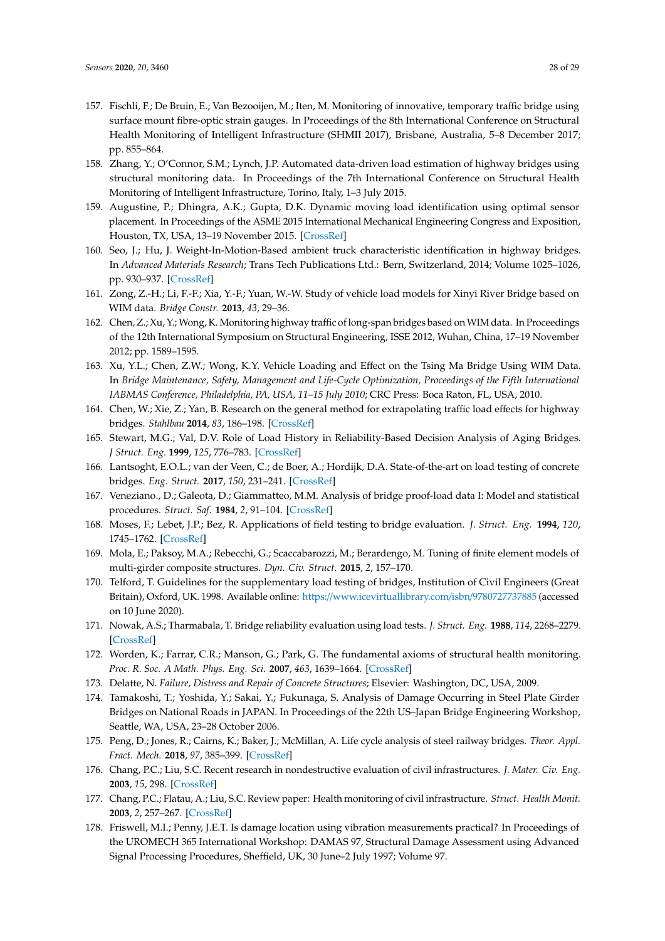- <span id="page-27-6"></span><span id="page-27-5"></span><span id="page-27-4"></span><span id="page-27-3"></span><span id="page-27-2"></span><span id="page-27-1"></span><span id="page-27-0"></span>157. Fischli, F.; De Bruin, E.; Van Bezooijen, M.; Iten, M. Monitoring of innovative, temporary traffic bridge using surface mount fibre-optic strain gauges. In Proceedings of the 8th International Conference on Structural Health Monitoring of Intelligent Infrastructure (SHMII 2017), Brisbane, Australia, 5–8 December 2017; pp. 855–864.
- 158. Zhang, Y.; O'Connor, S.M.; Lynch, J.P. Automated data-driven load estimation of highway bridges using structural monitoring data. In Proceedings of the 7th International Conference on Structural Health Monitoring of Intelligent Infrastructure, Torino, Italy, 1–3 July 2015.
- 159. Augustine, P.; Dhingra, A.K.; Gupta, D.K. Dynamic moving load identification using optimal sensor placement. In Proceedings of the ASME 2015 International Mechanical Engineering Congress and Exposition, Houston, TX, USA, 13–19 November 2015. [\[CrossRef\]](http://dx.doi.org/10.1115/IMECE201550701)
- 160. Seo, J.; Hu, J. Weight-In-Motion-Based ambient truck characteristic identification in highway bridges. In *Advanced Materials Research*; Trans Tech Publications Ltd.: Bern, Switzerland, 2014; Volume 1025–1026, pp. 930–937. [\[CrossRef\]](http://dx.doi.org/10.4028/www.scientific.net/AMR.1025-1026.930)
- 161. Zong, Z.-H.; Li, F.-F.; Xia, Y.-F.; Yuan, W.-W. Study of vehicle load models for Xinyi River Bridge based on WIM data. *Bridge Constr.* **2013**, *43*, 29–36.
- 162. Chen, Z.; Xu, Y.; Wong, K. Monitoring highway traffic of long-span bridges based on WIM data. In Proceedings of the 12th International Symposium on Structural Engineering, ISSE 2012, Wuhan, China, 17–19 November 2012; pp. 1589–1595.
- 163. Xu, Y.L.; Chen, Z.W.; Wong, K.Y. Vehicle Loading and Effect on the Tsing Ma Bridge Using WIM Data. In *Bridge Maintenance, Safety, Management and Life-Cycle Optimization, Proceedings of the Fifth International IABMAS Conference, Philadelphia, PA, USA, 11–15 July 2010*; CRC Press: Boca Raton, FL, USA, 2010.
- <span id="page-27-7"></span>164. Chen, W.; Xie, Z.; Yan, B. Research on the general method for extrapolating traffic load effects for highway bridges. *Stahlbau* **2014**, *83*, 186–198. [\[CrossRef\]](http://dx.doi.org/10.1002/stab.201410138)
- <span id="page-27-8"></span>165. Stewart, M.G.; Val, D.V. Role of Load History in Reliability-Based Decision Analysis of Aging Bridges. *J Struct. Eng.* **1999**, *125*, 776–783. [\[CrossRef\]](http://dx.doi.org/10.1061/(ASCE)0733-9445(1999)125:7(776))
- <span id="page-27-9"></span>166. Lantsoght, E.O.L.; van der Veen, C.; de Boer, A.; Hordijk, D.A. State-of-the-art on load testing of concrete bridges. *Eng. Struct.* **2017**, *150*, 231–241. [\[CrossRef\]](http://dx.doi.org/10.1016/j.engstruct.2017.07.050)
- 167. Veneziano., D.; Galeota, D.; Giammatteo, M.M. Analysis of bridge proof-load data I: Model and statistical procedures. *Struct. Saf.* **1984**, *2*, 91–104. [\[CrossRef\]](http://dx.doi.org/10.1016/0167-4730(84)90013-4)
- <span id="page-27-10"></span>168. Moses, F.; Lebet, J.P.; Bez, R. Applications of field testing to bridge evaluation. *J. Struct. Eng.* **1994**, *120*, 1745–1762. [\[CrossRef\]](http://dx.doi.org/10.1061/(ASCE)0733-9445(1994)120:6(1745))
- <span id="page-27-11"></span>169. Mola, E.; Paksoy, M.A.; Rebecchi, G.; Scaccabarozzi, M.; Berardengo, M. Tuning of finite element models of multi-girder composite structures. *Dyn. Civ. Struct.* **2015**, *2*, 157–170.
- <span id="page-27-12"></span>170. Telford, T. Guidelines for the supplementary load testing of bridges, Institution of Civil Engineers (Great Britain), Oxford, UK. 1998. Available online: https://[www.icevirtuallibrary.com](https://www.icevirtuallibrary.com/isbn/9780727737885)/isbn/9780727737885 (accessed on 10 June 2020).
- <span id="page-27-13"></span>171. Nowak, A.S.; Tharmabala, T. Bridge reliability evaluation using load tests. *J. Struct. Eng.* **1988**, *114*, 2268–2279. [\[CrossRef\]](http://dx.doi.org/10.1061/(ASCE)0733-9445(1988)114:10(2268))
- <span id="page-27-14"></span>172. Worden, K.; Farrar, C.R.; Manson, G.; Park, G. The fundamental axioms of structural health monitoring. *Proc. R. Soc. A Math. Phys. Eng. Sci.* **2007**, *463*, 1639–1664. [\[CrossRef\]](http://dx.doi.org/10.1098/rspa.2007.1834)
- <span id="page-27-16"></span><span id="page-27-15"></span>173. Delatte, N. *Failure, Distress and Repair of Concrete Structures*; Elsevier: Washington, DC, USA, 2009.
- 174. Tamakoshi, T.; Yoshida, Y.; Sakai, Y.; Fukunaga, S. Analysis of Damage Occurring in Steel Plate Girder Bridges on National Roads in JAPAN. In Proceedings of the 22th US–Japan Bridge Engineering Workshop, Seattle, WA, USA, 23–28 October 2006.
- <span id="page-27-17"></span>175. Peng, D.; Jones, R.; Cairns, K.; Baker, J.; McMillan, A. Life cycle analysis of steel railway bridges. *Theor. Appl. Fract. Mech.* **2018**, *97*, 385–399. [\[CrossRef\]](http://dx.doi.org/10.1016/j.tafmec.2017.06.023)
- <span id="page-27-18"></span>176. Chang, P.C.; Liu, S.C. Recent research in nondestructive evaluation of civil infrastructures. *J. Mater. Civ. Eng.* **2003**, *15*, 298. [\[CrossRef\]](http://dx.doi.org/10.1061/(ASCE)0899-1561(2003)15:3(298))
- <span id="page-27-19"></span>177. Chang, P.C.; Flatau, A.; Liu, S.C. Review paper: Health monitoring of civil infrastructure. *Struct. Health Monit.* **2003**, *2*, 257–267. [\[CrossRef\]](http://dx.doi.org/10.1177/1475921703036169)
- <span id="page-27-20"></span>178. Friswell, M.I.; Penny, J.E.T. Is damage location using vibration measurements practical? In Proceedings of the UROMECH 365 International Workshop: DAMAS 97, Structural Damage Assessment using Advanced Signal Processing Procedures, Sheffield, UK, 30 June–2 July 1997; Volume 97.